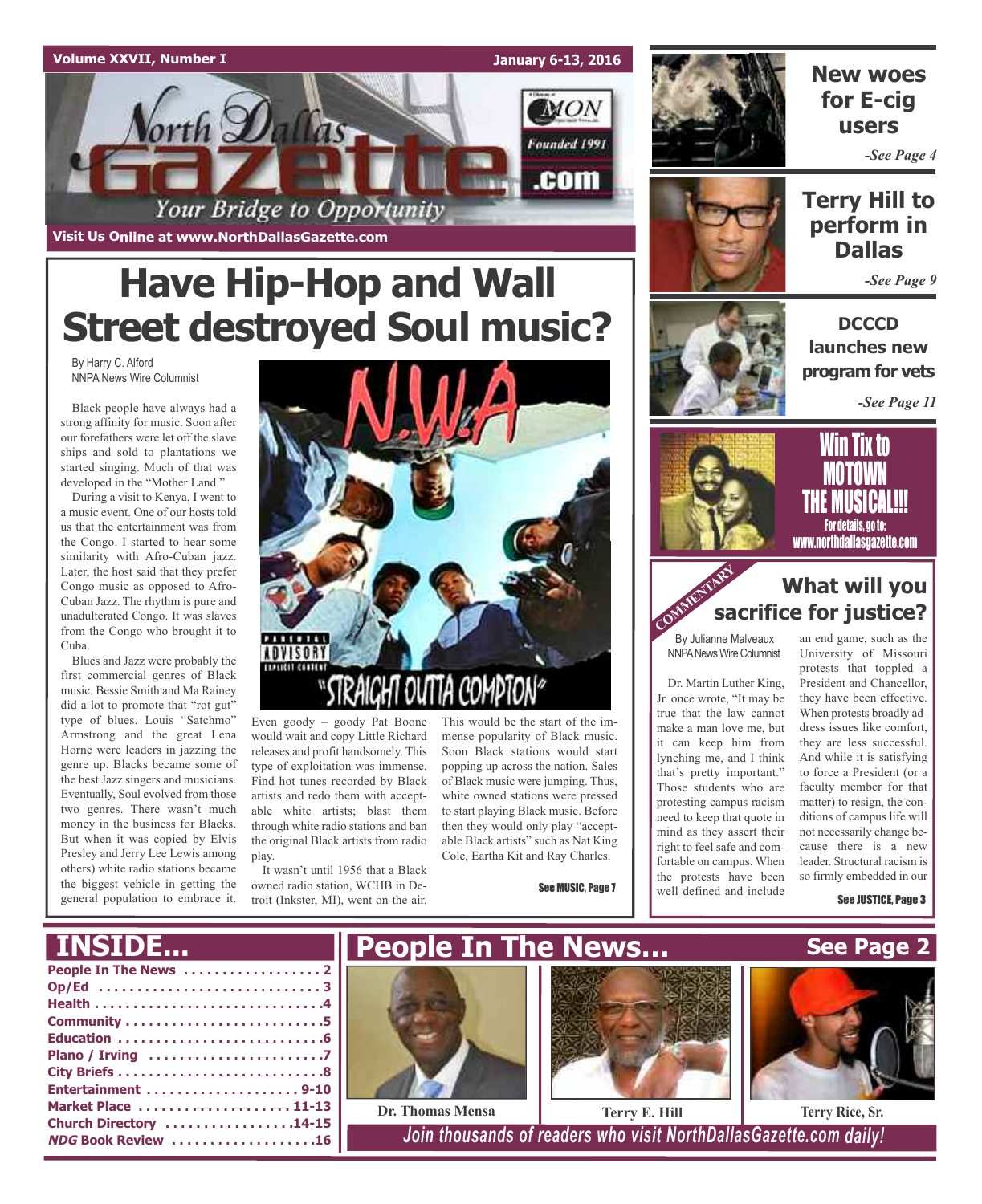

**January 6-13, 2016**

MON

Founded 1991

.com



### **New woes for E-cig users**

*-See Page 4*

### **Terry Hill to perform in Dallas**

*-See Page 9*

**DCCCD launches new program for vets**

*-See Page 11*

# **Have Hip-Hop and Wall Street destroyed Soul music?**

Your Bridge to Opportunity

By Harry C. Alford NNPA News Wire Columnist

Black people have always had a strong affinity for music. Soon after our forefathers were let off the slave ships and sold to plantations we started singing. Much of that was developed in the "Mother Land."

**Visit Us Online at www.NorthDallasGazette.com**

orth Dallas

During a visit to Kenya, I went to a music event. One of our hosts told us that the entertainment was from the Congo. I started to hear some similarity with Afro-Cuban jazz. Later, the host said that they prefer Congo music as opposed to Afro-Cuban Jazz. The rhythm is pure and unadulterated Congo. It was slaves from the Congo who brought it to Cuba.

Blues and Jazz were probably the first commercial genres of Black music. Bessie Smith and Ma Rainey did a lot to promote that "rot gut" type of blues. Louis "Satchmo" Armstrong and the great Lena Horne were leaders in jazzing the genre up. Blacks became some of the best Jazz singers and musicians. Eventually, Soul evolved from those two genres. There wasn't much money in the business for Blacks. But when it was copied by Elvis Presley and Jerry Lee Lewis among others) white radio stations became the biggest vehicle in getting the general population to embrace it.



Even goody – goody Pat Boone would wait and copy Little Richard releases and profit handsomely. This type of exploitation was immense. Find hot tunes recorded by Black artists and redo them with acceptable white artists; blast them through white radio stations and ban the original Black artists from radio play.

It wasn't until 1956 that a Black owned radio station, WCHB in Detroit (Inkster, MI), went on the air.

This would be the start of the immense popularity of Black music. Soon Black stations would start popping up across the nation. Sales of Black music were jumping. Thus, white owned stations were pressed to start playing Black music. Before then they would only play "acceptable Black artists" such as Nat King Cole, Eartha Kit and Ray Charles.

See MUSIC, Page 7



## TIX TO <u>MUIUWN</u> **THE MUSICAL!!!**

For details, go to: www.northdallasgazette.com

### **What will you sacrifice for justice?** COMMENT Sa

By Julianne Malveaux **NNPA News Wire Columnist** 

Dr. Martin Luther King, Jr. once wrote, "It may be true that the law cannot make a man love me, but it can keep him from lynching me, and I think that's pretty important." Those students who are protesting campus racism need to keep that quote in mind as they assert their right to feel safe and comfortable on campus. When the protests have been well defined and include

an end game, such as the University of Missouri protests that toppled a President and Chancellor, they have been effective. When protests broadly address issues like comfort, they are less successful. And while it is satisfying to force a President (or a faculty member for that matter) to resign, the conditions of campus life will not necessarily change because there is a new leader. Structural racism is so firmly embedded in our

See JUSTICE, Page 3

### **INSIDE...**

| Market Place  11-13       |  |
|---------------------------|--|
| Church Directory 14-15    |  |
| <b>NDG Book Review 16</b> |  |







**Dr. Thomas Mensa Terry E. Hill Terry Rice, Sr.**

 $1$ Join *thousands* of *readers* who visit NorthDallasGazette.com daily!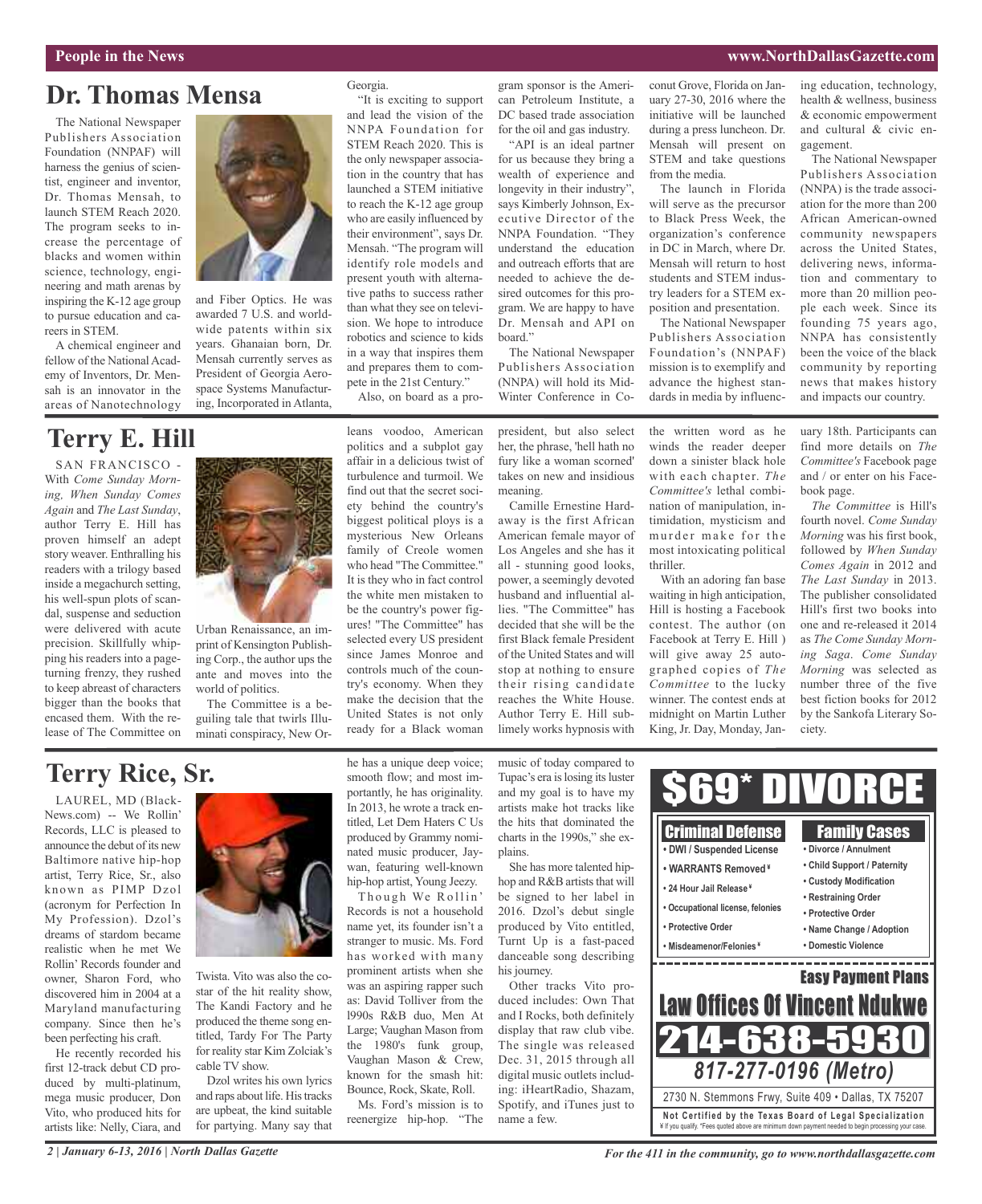#### **People in the News www.NorthDallasGazette.com**

### **Dr. Thomas Mensa**

The National Newspaper Publishers Association Foundation (NNPAF) will harness the genius of scientist, engineer and inventor, Dr. Thomas Mensah, to launch STEM Reach 2020. The program seeks to increase the percentage of blacks and women within science, technology, engineering and math arenas by inspiring the K-12 age group to pursue education and careers in STEM.

A chemical engineer and fellow of the National Academy of Inventors, Dr. Mensah is an innovator in the areas of Nanotechnology



and Fiber Optics. He was awarded 7 U.S. and worldwide patents within six years. Ghanaian born, Dr. Mensah currently serves as President of Georgia Aerospace Systems Manufacturing, Incorporated in Atlanta,

### **Terry E. Hill**

SAN FRANCISCO - With *Come Sunday Morning, When Sunday Comes Again* and *The Last Sunday*, author Terry E. Hill has proven himself an adept story weaver. Enthralling his readers with a trilogy based inside a megachurch setting, his well-spun plots of scandal, suspense and seduction were delivered with acute precision. Skillfully whipping his readers into a pageturning frenzy, they rushed to keep abreast of characters bigger than the books that encased them. With the release of The Committee on



Urban Renaissance, an imprint of Kensington Publishing Corp., the author ups the ante and moves into the world of politics.

The Committee is a beguiling tale that twirls Illuminati conspiracy, New Or-

#### Georgia.

"It is exciting to support and lead the vision of the NNPA Foundation for STEM Reach 2020. This is the only newspaper association in the country that has launched a STEM initiative to reach the K-12 age group who are easily influenced by their environment", says Dr. Mensah. "The program will identify role models and present youth with alternative paths to success rather than what they see on television. We hope to introduce robotics and science to kids in a way that inspires them and prepares them to compete in the 21st Century."

Also, on board as a pro-

leans voodoo, American politics and a subplot gay affair in a delicious twist of turbulence and turmoil. We find out that the secret society behind the country's biggest political ploys is a mysterious New Orleans family of Creole women who head "The Committee." It is they who in fact control the white men mistaken to be the country's power figures! "The Committee" has selected every US president since James Monroe and controls much of the country's economy. When they make the decision that the United States is not only ready for a Black woman

gram sponsor is the American Petroleum Institute, a DC based trade association for the oil and gas industry.

"API is an ideal partner for us because they bring a wealth of experience and longevity in their industry", says Kimberly Johnson, Executive Director of the NNPA Foundation. "They understand the education and outreach efforts that are needed to achieve the desired outcomes for this program. We are happy to have Dr. Mensah and API on board."

The National Newspaper Publishers Association (NNPA) will hold its Mid-Winter Conference in Co-

president, but also select her, the phrase, 'hell hath no fury like a woman scorned' takes on new and insidious meaning.

Camille Ernestine Hardaway is the first African American female mayor of Los Angeles and she has it all - stunning good looks, power, a seemingly devoted husband and influential allies. "The Committee" has decided that she will be the first Black female President of the United States and will stop at nothing to ensure their rising candidate reaches the White House. Author Terry E. Hill sublimely works hypnosis with

conut Grove, Florida on January 27-30, 2016 where the initiative will be launched during a press luncheon. Dr. Mensah will present on STEM and take questions from the media.

The launch in Florida will serve as the precursor to Black Press Week, the organization's conference in DC in March, where Dr. Mensah will return to host students and STEM industry leaders for a STEM exposition and presentation.

The National Newspaper Publishers Association Foundation's (NNPAF) mission is to exemplify and advance the highest standards in media by influenc-

the written word as he winds the reader deeper down a sinister black hole with each chapter. *The Committee's* lethal combination of manipulation, intimidation, mysticism and murder make for the most intoxicating political thriller.

With an adoring fan base waiting in high anticipation, Hill is hosting a Facebook contest. The author (on Facebook at Terry E. Hill ) will give away 25 autographed copies of *The Committee* to the lucky winner. The contest ends at midnight on Martin Luther King, Jr. Day, Monday, Janing education, technology, health & wellness, business & economic empowerment and cultural & civic engagement.

The National Newspaper Publishers Association (NNPA) is the trade association for the more than 200 African American-owned community newspapers across the United States, delivering news, information and commentary to more than 20 million people each week. Since its founding 75 years ago, NNPA has consistently been the voice of the black community by reporting news that makes history and impacts our country.

uary 18th. Participants can find more details on *The Committee's* Facebook page and / or enter on his Facebook page.

*The Committee* is Hill's fourth novel. *Come Sunday Morning* was his first book, followed by *When Sunday Comes Again* in 2012 and *The Last Sunday* in 2013. The publisher consolidated Hill's first two books into one and re-released it 2014 as *The Come Sunday Morning Saga*. *Come Sunday Morning* was selected as number three of the five best fiction books for 2012 by the Sankofa Literary Society.

### **Terry Rice, Sr.**

LAUREL, MD (Black-News.com) -- We Rollin' Records, LLC is pleased to announce the debut of its new Baltimore native hip-hop artist, Terry Rice, Sr., also known as PIMP Dzol (acronym for Perfection In My Profession). Dzol's dreams of stardom became realistic when he met We Rollin' Records founder and owner, Sharon Ford, who discovered him in 2004 at a Maryland manufacturing company. Since then he's been perfecting his craft.

He recently recorded his first 12-track debut CD produced by multi-platinum, mega music producer, Don Vito, who produced hits for artists like: Nelly, Ciara, and



Twista. Vito was also the costar of the hit reality show, The Kandi Factory and he produced the theme song entitled, Tardy For The Party for reality star Kim Zolciak's cable TV show.

Dzol writes his own lyrics and raps about life. His tracks are upbeat, the kind suitable for partying. Many say that he has a unique deep voice; smooth flow; and most importantly, he has originality. In 2013, he wrote a track entitled, Let Dem Haters C Us produced by Grammy nominated music producer, Jaywan, featuring well-known hip-hop artist, Young Jeezy.

Though We Rollin' Records is not a household name yet, its founder isn't a stranger to music. Ms. Ford has worked with many prominent artists when she was an aspiring rapper such as: David Tolliver from the l990s R&B duo, Men At Large; Vaughan Mason from the 1980's funk group, Vaughan Mason & Crew, known for the smash hit: Bounce, Rock, Skate, Roll.

Ms. Ford's mission is to reenergize hip-hop. "The

music of today compared to Tupac's era is losing its luster and my goal is to have my artists make hot tracks like the hits that dominated the charts in the 1990s," she explains.

She has more talented hiphop and R&B artists that will be signed to her label in 2016. Dzol's debut single produced by Vito entitled, Turnt Up is a fast-paced danceable song describing his journey.

Other tracks Vito produced includes: Own That and I Rocks, both definitely display that raw club vibe. The single was released Dec. 31, 2015 through all digital music outlets including: iHeartRadio, Shazam, Spotify, and iTunes just to name a few.

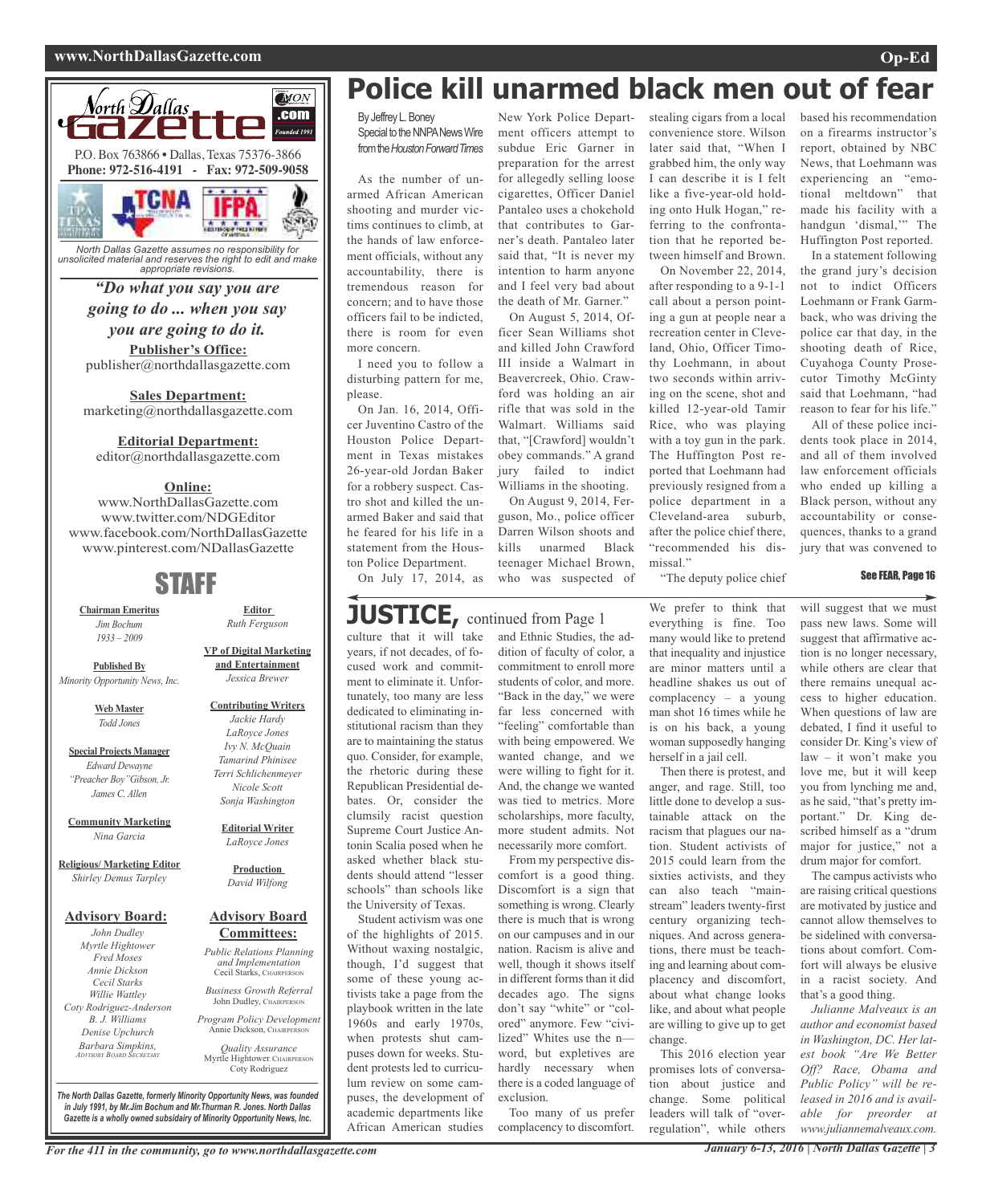#### **www.NorthDallasGazette.com Op-Ed**



*North Dallas Gazette assumes no responsibility for unsolicited material and reserves the right to edit and make appropriate revisions.*

#### *"Do what you say you are going to do ... when you say*

### *you are going to do it.*

**Publisher's Office:** publisher@northdallasgazette.com

**Sales Department:** marketing@northdallasgazette.com

#### **Editorial Department:**

editor@northdallasgazette.com

#### **Online:**

www.NorthDallasGazette.com www.twitter.com/NDGEditor www.facebook.com/NorthDallasGazette www.pinterest.com/NDallasGazette

### STAFF

**Chairman Emeritus** *Jim Bochum 1933 – 2009*

**Published By** *Minority Opportunity News, Inc.*

> **Web Master** *Todd Jones*

**Special Projects Manager** *Edward Dewayne "Preacher Boy"Gibson, Jr. James C. Allen*

**Community Marketing** *Nina Garcia*

**Religious/ Marketing Editor** *Shirley Demus Tarpley*

#### **Advisory Board:**

*John Dudley Myrtle Hightower Fred Moses Annie Dickson Cecil Starks Willie Wattley Coty Rodriguez-Anderson B. J. Williams Denise Upchurch Barbara Simpkins, ADVISORY BOARD SECRETARY*

**Editor** *Ruth Ferguson*

**VP of Digital Marketing and Entertainment** *Jessica Brewer*

**Contributing Writers** *Jackie Hardy LaRoyce Jones Ivy N. McQuain Tamarind Phinisee Terri Schlichenmeyer Nicole Scott Sonja Washington*

> **Editorial Writer** *LaRoyce Jones*

**Production** *David Wilfong*

#### **Advisory Board Committees:**

*Public Relations Planning and Implementation* Cecil Starks, CHAIRPERSON

*Business Growth Referral* John Dudley, CHAIRPERSON

*Program Policy Development* Annie Dickson, CHAIRPERS

*Quality Assurance* Myrtle Hightower, CHAIRPERSON Coty Rodriguez

*The North Dallas Gazette, formerly Minority Opportunity News, was founded in July 1991, by Mr.Jim Bochum and Mr.Thurman R. Jones. North Dallas Gazette is a wholly owned subsidairy of Minority Opportunity News, Inc.*

## **Police kill unarmed black men out of fear**

New York Police Department officers attempt to subdue Eric Garner in preparation for the arrest for allegedly selling loose cigarettes, Officer Daniel Pantaleo uses a chokehold that contributes to Garner's death. Pantaleo later said that, "It is never my intention to harm anyone and I feel very bad about the death of Mr. Garner." On August 5, 2014, Officer Sean Williams shot and killed John Crawford III inside a Walmart in Beavercreek, Ohio. Crawford was holding an air rifle that was sold in the Walmart. Williams said that, "[Crawford] wouldn't obey commands." A grand jury failed to indict Williams in the shooting. On August 9, 2014, Ferguson, Mo., police officer Darren Wilson shoots and kills unarmed Black teenager Michael Brown, who was suspected of

By Jeffrey L. Boney Special to the NNPA News Wire fromthe*HoustonForwardTimes*

As the number of unarmed African American shooting and murder victims continues to climb, at the hands of law enforcement officials, without any accountability, there is tremendous reason for concern; and to have those officers fail to be indicted, there is room for even more concern.

I need you to follow a disturbing pattern for me, please.

On Jan. 16, 2014, Officer Juventino Castro of the Houston Police Department in Texas mistakes 26-year-old Jordan Baker for a robbery suspect. Castro shot and killed the unarmed Baker and said that he feared for his life in a statement from the Houston Police Department.

On July 17, 2014, as

### **JUSTICE**, continued from Page 1

culture that it will take years, if not decades, of focused work and commitment to eliminate it. Unfortunately, too many are less dedicated to eliminating institutional racism than they are to maintaining the status quo. Consider, for example, the rhetoric during these Republican Presidential debates. Or, consider the clumsily racist question Supreme Court Justice Antonin Scalia posed when he asked whether black students should attend "lesser schools" than schools like the University of Texas.

Student activism was one of the highlights of 2015. Without waxing nostalgic, though, I'd suggest that some of these young activists take a page from the playbook written in the late 1960s and early 1970s, when protests shut campuses down for weeks. Student protests led to curriculum review on some campuses, the development of academic departments like African American studies

and Ethnic Studies, the addition of faculty of color, a commitment to enroll more students of color, and more. "Back in the day," we were far less concerned with "feeling" comfortable than with being empowered. We wanted change, and we were willing to fight for it. And, the change we wanted was tied to metrics. More scholarships, more faculty, more student admits. Not necessarily more comfort. From my perspective dis-

comfort is a good thing. Discomfort is a sign that something is wrong. Clearly there is much that is wrong on our campuses and in our nation. Racism is alive and well, though it shows itself in different forms than it did decades ago. The signs don't say "white" or "colored" anymore. Few "civilized" Whites use the n word, but expletives are hardly necessary when there is a coded language of exclusion.

Too many of us prefer complacency to discomfort.

stealing cigars from a local convenience store. Wilson later said that, "When I grabbed him, the only way I can describe it is I felt like a five-year-old holding onto Hulk Hogan," referring to the confrontation that he reported between himself and Brown.

On November 22, 2014, after responding to a 9-1-1 call about a person pointing a gun at people near a recreation center in Cleveland, Ohio, Officer Timothy Loehmann, in about two seconds within arriving on the scene, shot and killed 12-year-old Tamir Rice, who was playing with a toy gun in the park. The Huffington Post reported that Loehmann had previously resigned from a police department in a Cleveland-area suburb, after the police chief there, "recommended his dismissal."

based his recommendation on a firearms instructor's report, obtained by NBC News, that Loehmann was experiencing an "emotional meltdown" that made his facility with a handgun 'dismal,'" The Huffington Post reported.

In a statement following the grand jury's decision not to indict Officers Loehmann or Frank Garmback, who was driving the police car that day, in the shooting death of Rice, Cuyahoga County Prosecutor Timothy McGinty said that Loehmann, "had reason to fear for his life."

All of these police incidents took place in 2014, and all of them involved law enforcement officials who ended up killing a Black person, without any accountability or consequences, thanks to a grand jury that was convened to

#### See FEAR, Page 16

"The deputy police chief

We prefer to think that everything is fine. Too many would like to pretend that inequality and injustice are minor matters until a headline shakes us out of complacency – a young man shot 16 times while he is on his back, a young woman supposedly hanging herself in a jail cell.

Then there is protest, and anger, and rage. Still, too little done to develop a sustainable attack on the racism that plagues our nation. Student activists of 2015 could learn from the sixties activists, and they can also teach "mainstream" leaders twenty-first century organizing techniques. And across generations, there must be teaching and learning about complacency and discomfort, about what change looks like, and about what people are willing to give up to get change.

This 2016 election year promises lots of conversation about justice and change. Some political leaders will talk of "overregulation", while others

will suggest that we must pass new laws. Some will suggest that affirmative action is no longer necessary, while others are clear that there remains unequal access to higher education. When questions of law are debated, I find it useful to consider Dr. King's view of law – it won't make you love me, but it will keep you from lynching me and, as he said, "that's pretty important." Dr. King described himself as a "drum major for justice," not a drum major for comfort.

The campus activists who are raising critical questions are motivated by justice and cannot allow themselves to be sidelined with conversations about comfort. Comfort will always be elusive in a racist society. And that's a good thing.

*Julianne Malveaux is an author and economist based in Washington, DC. Her latest book "Are We Better Off? Race, Obama and Public Policy" will be released in 2016 and is available for preorder at www.juliannemalveaux.com.*

For the 411 in the community, go to www.northdallasgazette.com January 6-13, 2016 | North Dallas Gazette | 3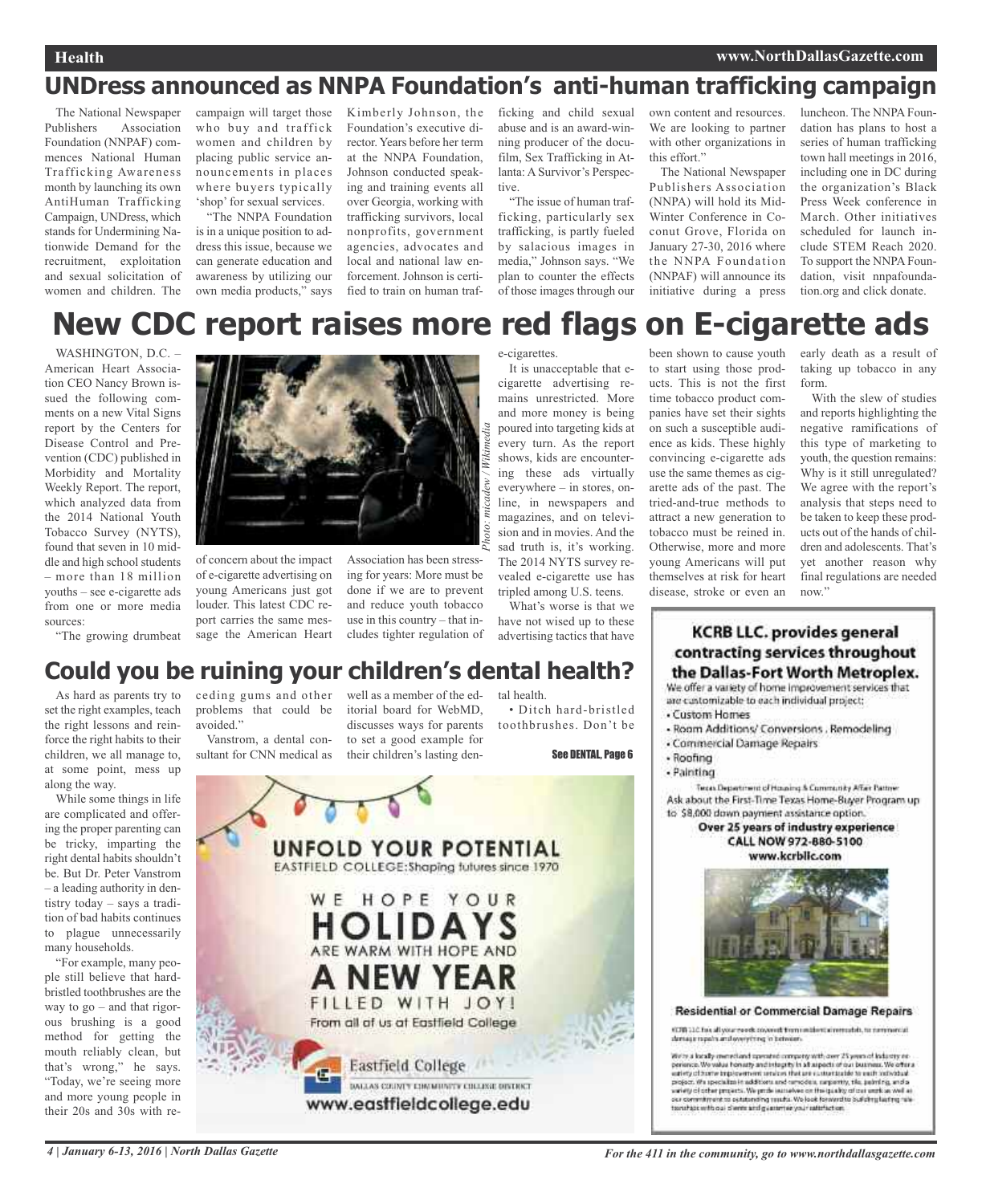### **UNDress announced as NNPA Foundation's anti-human trafficking campaign**

The National Newspaper Publishers Association Foundation (NNPAF) commences National Human Trafficking Awareness month by launching its own AntiHuman Trafficking Campaign, UNDress, which stands for Undermining Nationwide Demand for the recruitment, exploitation and sexual solicitation of women and children. The

campaign will target those who buy and traffick women and children by placing public service announcements in places where buyers typically 'shop' for sexual services.

"The NNPA Foundation is in a unique position to address this issue, because we can generate education and awareness by utilizing our own media products," says

Kimberly Johnson, the Foundation's executive director. Years before her term at the NNPA Foundation, Johnson conducted speaking and training events all over Georgia, working with trafficking survivors, local nonprofits, government agencies, advocates and local and national law enforcement. Johnson is certified to train on human traf-

ficking and child sexual abuse and is an award-winning producer of the docufilm, Sex Trafficking in Atlanta: A Survivor's Perspective.

"The issue of human trafficking, particularly sex trafficking, is partly fueled by salacious images in media," Johnson says. "We plan to counter the effects of those images through our own content and resources. We are looking to partner with other organizations in this effort."

The National Newspaper Publishers Association (NNPA) will hold its Mid-Winter Conference in Coconut Grove, Florida on January 27-30, 2016 where the NNPA Foundation (NNPAF) will announce its initiative during a press

luncheon. The NNPA Foundation has plans to host a series of human trafficking town hall meetings in 2016, including one in DC during the organization's Black Press Week conference in March. Other initiatives scheduled for launch include STEM Reach 2020. To support the NNPA Foundation, visit nnpafoundation.org and click donate.

### **New CDC report raises more red flags on E-cigarette ads**

WASHINGTON, D.C. -American Heart Association CEO Nancy Brown issued the following comments on a new Vital Signs report by the Centers for Disease Control and Prevention (CDC) published in Morbidity and Mortality Weekly Report. The report, which analyzed data from the 2014 National Youth Tobacco Survey (NYTS), found that seven in 10 middle and high school students – more than 18 million youths – see e-cigarette ads from one or more media sources:





of concern about the impact of e-cigarette advertising on young Americans just got louder. This latest CDC report carries the same message the American Heart

Association has been stressing for years: More must be done if we are to prevent and reduce youth tobacco use in this country – that includes tighter regulation of

e-cigarettes.

It is unacceptable that ecigarette advertising remains unrestricted. More and more money is being poured into targeting kids at every turn. As the report shows, kids are encountering these ads virtually everywhere – in stores, online, in newspapers and magazines, and on television and in movies. And the sad truth is, it's working. The 2014 NYTS survey revealed e-cigarette use has tripled among U.S. teens.

What's worse is that we have not wised up to these advertising tactics that have been shown to cause youth to start using those products. This is not the first time tobacco product companies have set their sights on such a susceptible audience as kids. These highly convincing e-cigarette ads use the same themes as cigarette ads of the past. The tried-and-true methods to attract a new generation to tobacco must be reined in. Otherwise, more and more young Americans will put themselves at risk for heart disease, stroke or even an early death as a result of taking up tobacco in any form.

With the slew of studies and reports highlighting the negative ramifications of this type of marketing to youth, the question remains: Why is it still unregulated? We agree with the report's analysis that steps need to be taken to keep these products out of the hands of children and adolescents. That's yet another reason why final regulations are needed now."

### **Could you be ruining your children's dental health?**

As hard as parents try to set the right examples, teach the right lessons and reinforce the right habits to their children, we all manage to, at some point, mess up along the way.

While some things in life are complicated and offering the proper parenting can be tricky, imparting the right dental habits shouldn't be. But Dr. Peter Vanstrom – a leading authority in dentistry today – says a tradition of bad habits continues to plague unnecessarily many households.

"For example, many people still believe that hardbristled toothbrushes are the way to go – and that rigorous brushing is a good method for getting the mouth reliably clean, but that's wrong," he says. "Today, we're seeing more and more young people in their 20s and 30s with re-

ceding gums and other well as a member of the edproblems that could be avoided."

Vanstrom, a dental consultant for CNN medical as

itorial board for WebMD, discusses ways for parents to set a good example for their children's lasting den-

tal health. • Ditch hard-bristled toothbrushes. Don't be

See DENTAL, Page 6



**KCRB LLC. provides general** contracting services throughout the Dallas-Fort Worth Metroplex.

We offer a variety of home improvement services that are customizable to each individual project:

- · Custom Homes
- Room Additions/ Conversions . Remodeling
- Commercial Damage Repairs
- · Roofing
- Painting

Tests Department of Housing & Community After Partner Ask about the First-Time Texas Home-Buyer Program up to \$8,000 down payment assistance option.

Over 25 years of industry experience CALL NOW 972-880-5100 www.kcrblic.com



#### **Residential or Commercial Damage Repairs**

9070312. This all your revolt covered them instituted remarks to nummercal. densga rapain and overything in between

We're a locally inversion transmission reports with over 25 years of lock persons. We wake from<br>thy and integrity in all appears of our business. We offer a safety of harde implementent universe that are customizable to each volved<br>and proper, when persons into a constraint the advertised in th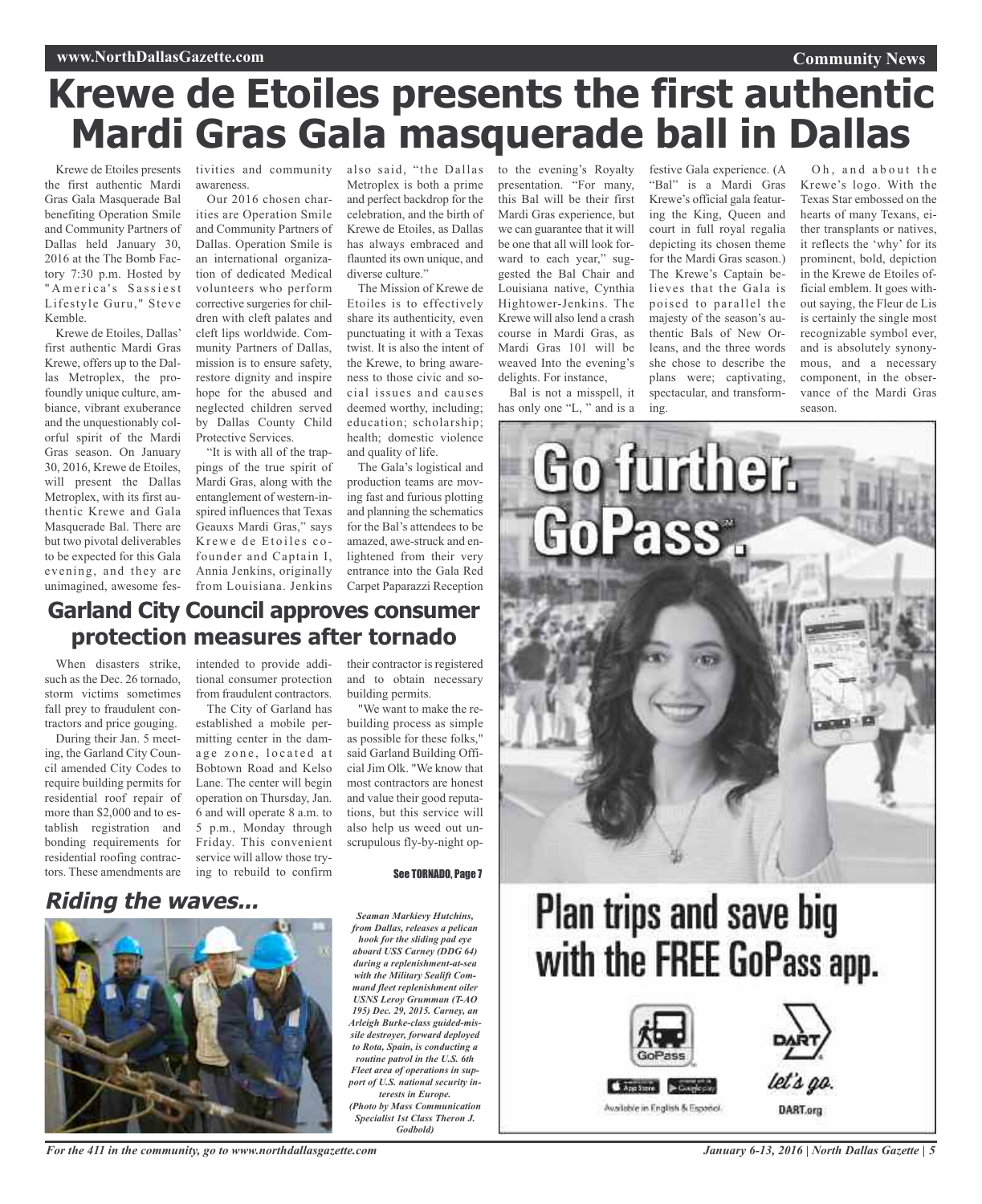# **Krewe de Etoiles presents the first authentic Mardi Gras Gala masquerade ball in Dallas**

Krewe de Etoiles presents the first authentic Mardi Gras Gala Masquerade Bal benefiting Operation Smile and Community Partners of Dallas held January 30, 2016 at the The Bomb Factory 7:30 p.m. Hosted by " A merica's Sassiest Lifestyle Guru," Steve Kemble.

Krewe de Etoiles, Dallas' first authentic Mardi Gras Krewe, offers up to the Dallas Metroplex, the profoundly unique culture, ambiance, vibrant exuberance and the unquestionably colorful spirit of the Mardi Gras season. On January 30, 2016, Krewe de Etoiles, will present the Dallas Metroplex, with its first authentic Krewe and Gala Masquerade Bal. There are but two pivotal deliverables to be expected for this Gala evening, and they are unimagined, awesome fes-

When disasters strike, such as the Dec. 26 tornado, storm victims sometimes fall prey to fraudulent contractors and price gouging. During their Jan. 5 meeting, the Garland City Council amended City Codes to require building permits for residential roof repair of more than \$2,000 and to establish registration and bonding requirements for tivities and community awareness.

Our 2016 chosen charities are Operation Smile and Community Partners of Dallas. Operation Smile is an international organization of dedicated Medical volunteers who perform corrective surgeries for children with cleft palates and cleft lips worldwide. Community Partners of Dallas, mission is to ensure safety, restore dignity and inspire hope for the abused and neglected children served by Dallas County Child Protective Services.

"It is with all of the trappings of the true spirit of Mardi Gras, along with the entanglement of western-inspired influences that Texas Geauxs Mardi Gras," says Krewe de Etoiles cofounder and Captain I, Annia Jenkins, originally from Louisiana. Jenkins

intended to provide additional consumer protection from fraudulent contractors. The City of Garland has established a mobile permitting center in the damage zone, located at Bobtown Road and Kelso Lane. The center will begin operation on Thursday, Jan. 6 and will operate 8 a.m. to 5 p.m., Monday through Friday. This convenient

**Garland City Council approves consumer**

**protection measures after tornado**

also said, "the Dallas to the evening's Royalty Metroplex is both a prime and perfect backdrop for the celebration, and the birth of Krewe de Etoiles, as Dallas has always embraced and flaunted its own unique, and diverse culture."

The Mission of Krewe de Etoiles is to effectively share its authenticity, even punctuating it with a Texas twist. It is also the intent of the Krewe, to bring awareness to those civic and social issues and causes deemed worthy, including; education; scholarship; health; domestic violence and quality of life.

The Gala's logistical and production teams are moving fast and furious plotting and planning the schematics for the Bal's attendees to be amazed, awe-struck and enlightened from their very entrance into the Gala Red Carpet Paparazzi Reception

their contractor is registered and to obtain necessary

"We want to make the rebuilding process as simple as possible for these folks," said Garland Building Official Jim Olk. "We know that most contractors are honest and value their good reputations, but this service will also help us weed out unscrupulous fly-by-night op-

building permits.

presentation. "For many, this Bal will be their first Mardi Gras experience, but we can guarantee that it will be one that all will look forward to each year," suggested the Bal Chair and Louisiana native, Cynthia Hightower-Jenkins. The Krewe will also lend a crash course in Mardi Gras, as Mardi Gras 101 will be weaved Into the evening's delights. For instance,

Bal is not a misspell, it has only one "L, " and is a festive Gala experience. (A "Bal" is a Mardi Gras Krewe's official gala featuring the King, Queen and court in full royal regalia depicting its chosen theme for the Mardi Gras season.) The Krewe's Captain believes that the Gala is poised to parallel the majesty of the season's authentic Bals of New Orleans, and the three words she chose to describe the plans were; captivating, spectacular, and transforming.

Oh, and about the Krewe's logo. With the Texas Star embossed on the hearts of many Texans, either transplants or natives, it reflects the 'why' for its prominent, bold, depiction in the Krewe de Etoiles official emblem. It goes without saying, the Fleur de Lis is certainly the single most recognizable symbol ever, and is absolutely synonymous, and a necessary component, in the observance of the Mardi Gras season.

**Community News**



# **Plan trips and save big** with the FREE GoPass app.



let's go.

#### **Riding the waves...** residential roofing contractors. These amendments are service will allow those trying to rebuild to confirm



*For the 411 in the community, go to www.northdallasgazette.com*

*hook for the sliding pad eye aboard USS Carney (DDG 64) during a replenishment-at-sea with the Military Sealift Command fleet replenishment oiler USNS Leroy Grumman (T-AO Arleigh Burke-class guided-missile destroyer, forward deployed to Rota, Spain, is conducting a routine patrol in the U.S. 6th Fleet area of operations in support of U.S. national security in-*

*(Photo by Mass Communication Specialist 1st Class Theron J. Godbold)*

*Seaman Markievy Hutchins, from Dallas, releases a pelican 195) Dec. 29, 2015. Carney, an terests in Europe.*

See TORNADO, Page 7





DART.org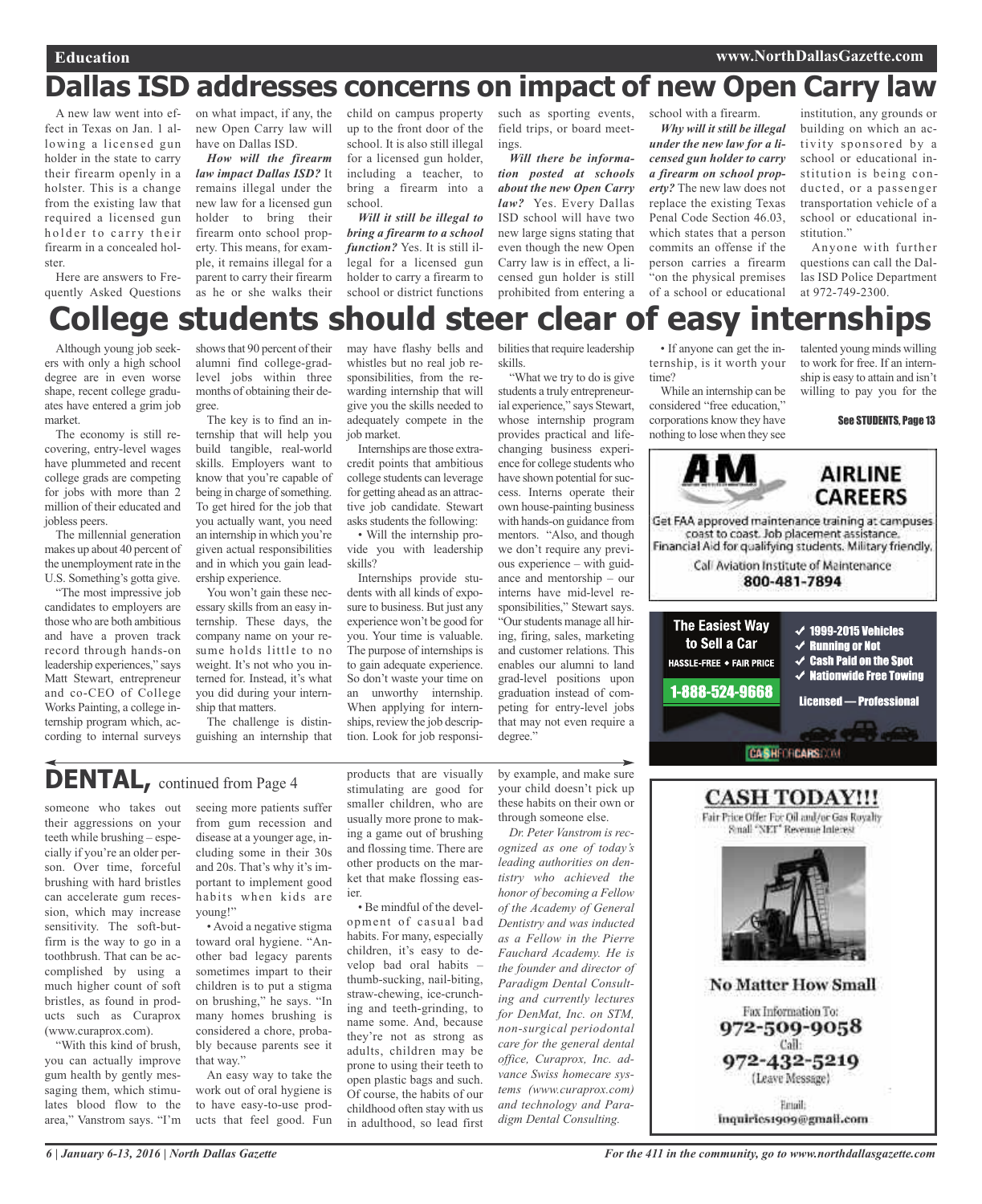### **Dallas ISD addresses concerns on impact of new Open Carry law**

A new law went into effect in Texas on Jan. 1 allowing a licensed gun holder in the state to carry their firearm openly in a holster. This is a change from the existing law that required a licensed gun holder to carry their firearm in a concealed holster.

Here are answers to Frequently Asked Questions

on what impact, if any, the new Open Carry law will have on Dallas ISD.

*How will the firearm law impact Dallas ISD?* It remains illegal under the new law for a licensed gun holder to bring their firearm onto school property. This means, for example, it remains illegal for a parent to carry their firearm as he or she walks their child on campus property up to the front door of the school. It is also still illegal for a licensed gun holder, including a teacher, to bring a firearm into a school.

*Will it still be illegal to bring a firearm to a school function?* Yes. It is still illegal for a licensed gun holder to carry a firearm to school or district functions

whistles but no real job responsibilities, from the rewarding internship that will give you the skills needed to adequately compete in the

Internships are those extracredit points that ambitious college students can leverage for getting ahead as an attractive job candidate. Stewart asks students the following: • Will the internship provide you with leadership

Internships provide students with all kinds of exposure to business. But just any experience won't be good for you. Your time is valuable. The purpose of internships is to gain adequate experience. So don't waste your time on an unworthy internship. When applying for internships, review the job description. Look for job responsi-

job market.

skills?

such as sporting events, field trips, or board meetings.

*Will there be information posted at schools about the new Open Carry law?* Yes. Every Dallas ISD school will have two new large signs stating that even though the new Open Carry law is in effect, a licensed gun holder is still prohibited from entering a

"What we try to do is give students a truly entrepreneurial experience," says Stewart, whose internship program provides practical and lifechanging business experience for college students who have shown potential for success. Interns operate their own house-painting business with hands-on guidance from mentors. "Also, and though we don't require any previous experience – with guidance and mentorship – our interns have mid-level responsibilities," Stewart says. "Ourstudents manage all hiring, firing, sales, marketing and customer relations. This enables our alumni to land grad-level positions upon graduation instead of competing for entry-level jobs that may not even require a

school with a firearm. *Why will it still be illegal*

*under the new law for a licensed gun holder to carry a firearm on school property?* The new law does not replace the existing Texas Penal Code Section 46.03, which states that a person commits an offense if the person carries a firearm "on the physical premises of a school or educational

institution, any grounds or building on which an activity sponsored by a school or educational institution is being conducted, or a passenger transportation vehicle of a school or educational institution."

Anyone with further questions can call the Dallas ISD Police Department at 972-749-2300.

#### may have flashy bells and bilities that require leadership **College students should steer clear of easy internships**

skills.

Although young job seekers with only a high school degree are in even worse shape, recent college graduates have entered a grim job market.

The economy is still recovering, entry-level wages have plummeted and recent college grads are competing for jobs with more than 2 million of their educated and jobless peers.

The millennial generation makes up about 40 percent of the unemployment rate in the U.S. Something's gotta give.

"The most impressive job candidates to employers are those who are both ambitious and have a proven track record through hands-on leadership experiences," says Matt Stewart, entrepreneur and co-CEO of College Works Painting, a college internship program which, according to internal surveys

shows that 90 percent of their alumni find college-gradlevel jobs within three months of obtaining their degree.

The key is to find an internship that will help you build tangible, real-world skills. Employers want to know that you're capable of being in charge of something. To get hired for the job that you actually want, you need an internship in which you're given actual responsibilities and in which you gain leadership experience.

You won't gain these necessary skills from an easy internship. These days, the company name on your resume holds little to no weight. It's not who you interned for. Instead, it's what you did during your internship that matters.

The challenge is distinguishing an internship that

### **DENTAL,** continued from Page <sup>4</sup>

someone who takes out their aggressions on your teeth while brushing – especially if you're an older person. Over time, forceful brushing with hard bristles can accelerate gum recession, which may increase sensitivity. The soft-butfirm is the way to go in a toothbrush. That can be accomplished by using a much higher count of soft bristles, as found in products such as Curaprox (www.curaprox.com).

"With this kind of brush, you can actually improve gum health by gently messaging them, which stimulates blood flow to the area," Vanstrom says. "I'm

seeing more patients suffer from gum recession and disease at a younger age, including some in their 30s and 20s. That's why it's important to implement good habits when kids are young!"

• Avoid a negative stigma toward oral hygiene. "Another bad legacy parents sometimes impart to their children is to put a stigma on brushing," he says. "In many homes brushing is considered a chore, probably because parents see it that way."

An easy way to take the work out of oral hygiene is to have easy-to-use products that feel good. Fun

products that are visually stimulating are good for smaller children, who are usually more prone to making a game out of brushing and flossing time. There are other products on the market that make flossing easier.

• Be mindful of the development of casual bad habits. For many, especially children, it's easy to develop bad oral habits – thumb-sucking, nail-biting, straw-chewing, ice-crunching and teeth-grinding, to name some. And, because they're not as strong as adults, children may be prone to using their teeth to open plastic bags and such. Of course, the habits of our childhood often stay with us in adulthood, so lead first

by example, and make sure your child doesn't pick up these habits on their own or through someone else. *Dr. Peter Vanstrom is rec-*

degree."

*ognized as one of today's leading authorities on dentistry who achieved the honor of becoming a Fellow of the Academy of General Dentistry and was inducted as a Fellow in the Pierre Fauchard Academy. He is the founder and director of Paradigm Dental Consulting and currently lectures for DenMat, Inc. on STM, non-surgical periodontal care for the general dental office, Curaprox, Inc. advance Swiss homecare systems (www.curaprox.com) and technology and Paradigm Dental Consulting.*

• If anyone can get the internship, is it worth your time?

While an internship can be considered "free education," corporations know they have nothing to lose when they see

talented young minds willing to work for free. If an internship is easy to attain and isn't willing to pay you for the

See STUDENTS, Page 13





inquiries1909@gmail.com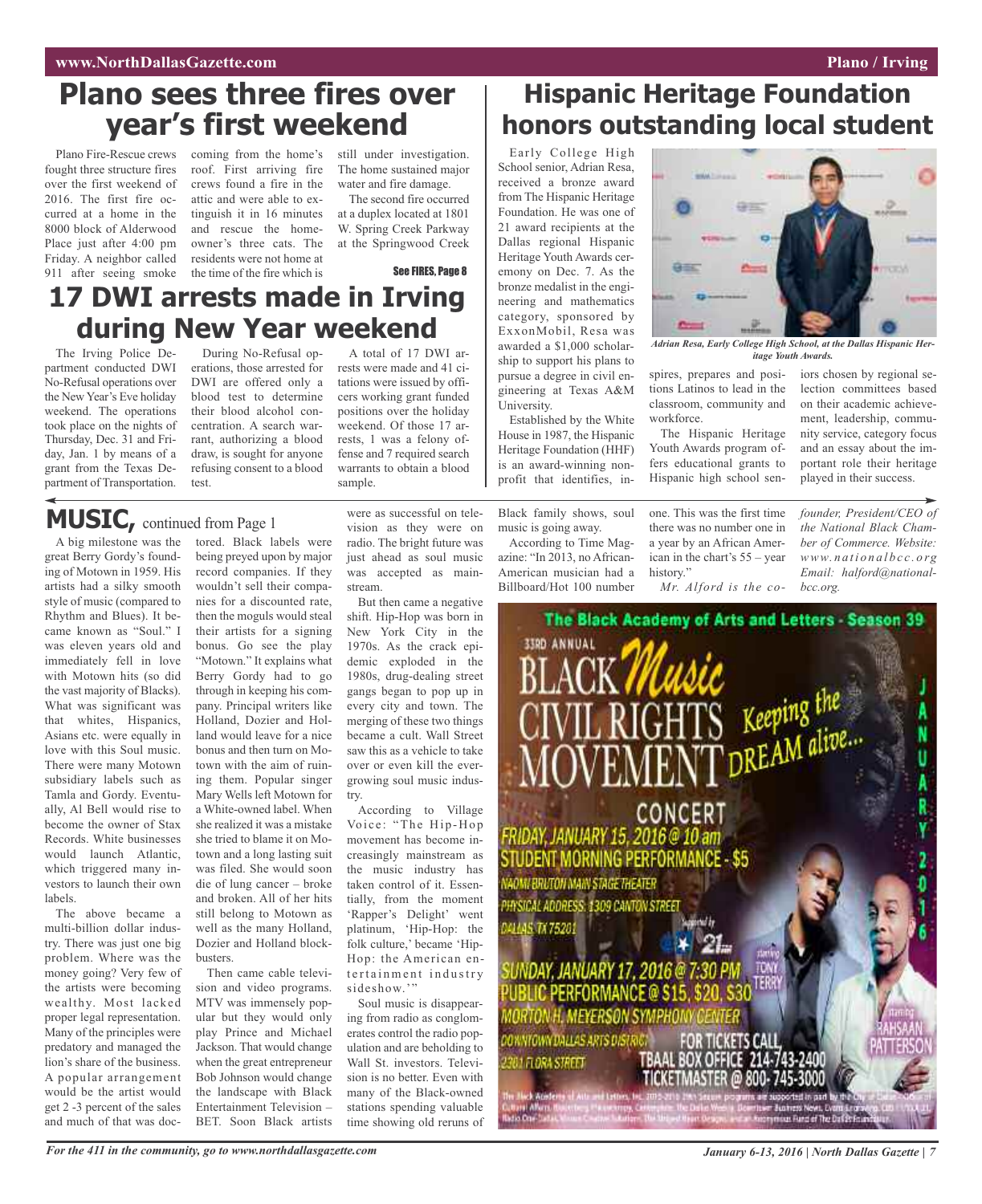### **Plano sees three fires over year's first weekend**

Plano Fire-Rescue crews fought three structure fires over the first weekend of 2016. The first fire occurred at a home in the 8000 block of Alderwood Place just after 4:00 pm Friday. A neighbor called 911 after seeing smoke

coming from the home's roof. First arriving fire crews found a fire in the attic and were able to extinguish it in 16 minutes and rescue the homeowner's three cats. The residents were not home at the time of the fire which is

still under investigation. The home sustained major water and fire damage.

The second fire occurred at a duplex located at 1801 W. Spring Creek Parkway at the Springwood Creek

See FIRES, Page 8

### **17 DWI arrests made in Irving during New Year weekend**

The Irving Police Department conducted DWI No-Refusal operations over the New Year's Eve holiday weekend. The operations took place on the nights of Thursday, Dec. 31 and Friday, Jan. 1 by means of a grant from the Texas Department of Transportation.

During No-Refusal operations, those arrested for DWI are offered only a blood test to determine their blood alcohol concentration. A search warrant, authorizing a blood draw, is sought for anyone refusing consent to a blood test.

A total of 17 DWI arrests were made and 41 citations were issued by officers working grant funded positions over the holiday weekend. Of those 17 arrests, 1 was a felony offense and 7 required search warrants to obtain a blood sample.

### **MUSIC,** continued from Page <sup>1</sup>

A big milestone was the great Berry Gordy's founding of Motown in 1959. His artists had a silky smooth style of music (compared to Rhythm and Blues). It became known as "Soul." I was eleven years old and immediately fell in love with Motown hits (so did the vast majority of Blacks). What was significant was that whites, Hispanics, Asians etc. were equally in love with this Soul music. There were many Motown subsidiary labels such as Tamla and Gordy. Eventually, Al Bell would rise to become the owner of Stax Records. White businesses would launch Atlantic, which triggered many investors to launch their own labels.

The above became a multi-billion dollar industry. There was just one big problem. Where was the money going? Very few of the artists were becoming wealthy. Most lacked proper legal representation. Many of the principles were predatory and managed the lion's share of the business. A popular arrangement would be the artist would get 2 -3 percent of the sales and much of that was doctored. Black labels were being preyed upon by major record companies. If they wouldn't sell their companies for a discounted rate, then the moguls would steal their artists for a signing bonus. Go see the play "Motown." It explains what Berry Gordy had to go through in keeping his company. Principal writers like Holland, Dozier and Holland would leave for a nice bonus and then turn on Motown with the aim of ruining them. Popular singer Mary Wells left Motown for a White-owned label. When she realized it was a mistake she tried to blame it on Motown and a long lasting suit was filed. She would soon die of lung cancer – broke and broken. All of her hits still belong to Motown as well as the many Holland, Dozier and Holland block-

Then came cable television and video programs. MTV was immensely popular but they would only play Prince and Michael Jackson. That would change when the great entrepreneur Bob Johnson would change the landscape with Black Entertainment Television – BET. Soon Black artists

were as successful on television as they were on radio. The bright future was just ahead as soul music was accepted as mainstream.

But then came a negative shift. Hip-Hop was born in New York City in the 1970s. As the crack epidemic exploded in the 1980s, drug-dealing street gangs began to pop up in every city and town. The merging of these two things became a cult. Wall Street saw this as a vehicle to take over or even kill the evergrowing soul music industry.

According to Village Voice: "The Hip-Hop movement has become increasingly mainstream as the music industry has taken control of it. Essentially, from the moment 'Rapper's Delight' went platinum, 'Hip-Hop: the folk culture,' became 'Hip-Hop: the American entertainment industry sideshow."

Soul music is disappearing from radio as conglomerates control the radio population and are beholding to Wall St. investors. Television is no better. Even with many of the Black-owned stations spending valuable time showing old reruns of

### **Hispanic Heritage Foundation honors outstanding local student**

Early College High School senior, Adrian Resa, received a bronze award from The Hispanic Heritage Foundation. He was one of 21 award recipients at the Dallas regional Hispanic Heritage Youth Awards ceremony on Dec. 7. As the bronze medalist in the engineering and mathematics category, sponsored by ExxonMobil, Resa was awarded a \$1,000 scholarship to support his plans to pursue a degree in civil engineering at Texas A&M University.

Established by the White House in 1987, the Hispanic Heritage Foundation (HHF) is an award-winning nonprofit that identifies, in-

Black family shows, soul music is going away.

According to Time Magazine: "In 2013, no African-American musician had a Billboard/Hot 100 number

spires, prepares and positions Latinos to lead in the classroom, community and workforce. *itage Youth Awards.*

森吉

*Adrian Resa, Early College High School, at the Dallas Hispanic Her-*

The Hispanic Heritage Youth Awards program offers educational grants to Hispanic high school sen-

one. This was the first time there was no number one in a year by an African American in the chart's 55 – year history."

*Mr. Alford is the co-*

iors chosen by regional selection committees based on their academic achievement, leadership, community service, category focus and an essay about the important role their heritage played in their success.

*founder, President/CEO of the National Black Chamber of Commerce. Website: www. n a ti o n a l b c c . o rg Email: halford@nationalbcc.org.*



busters.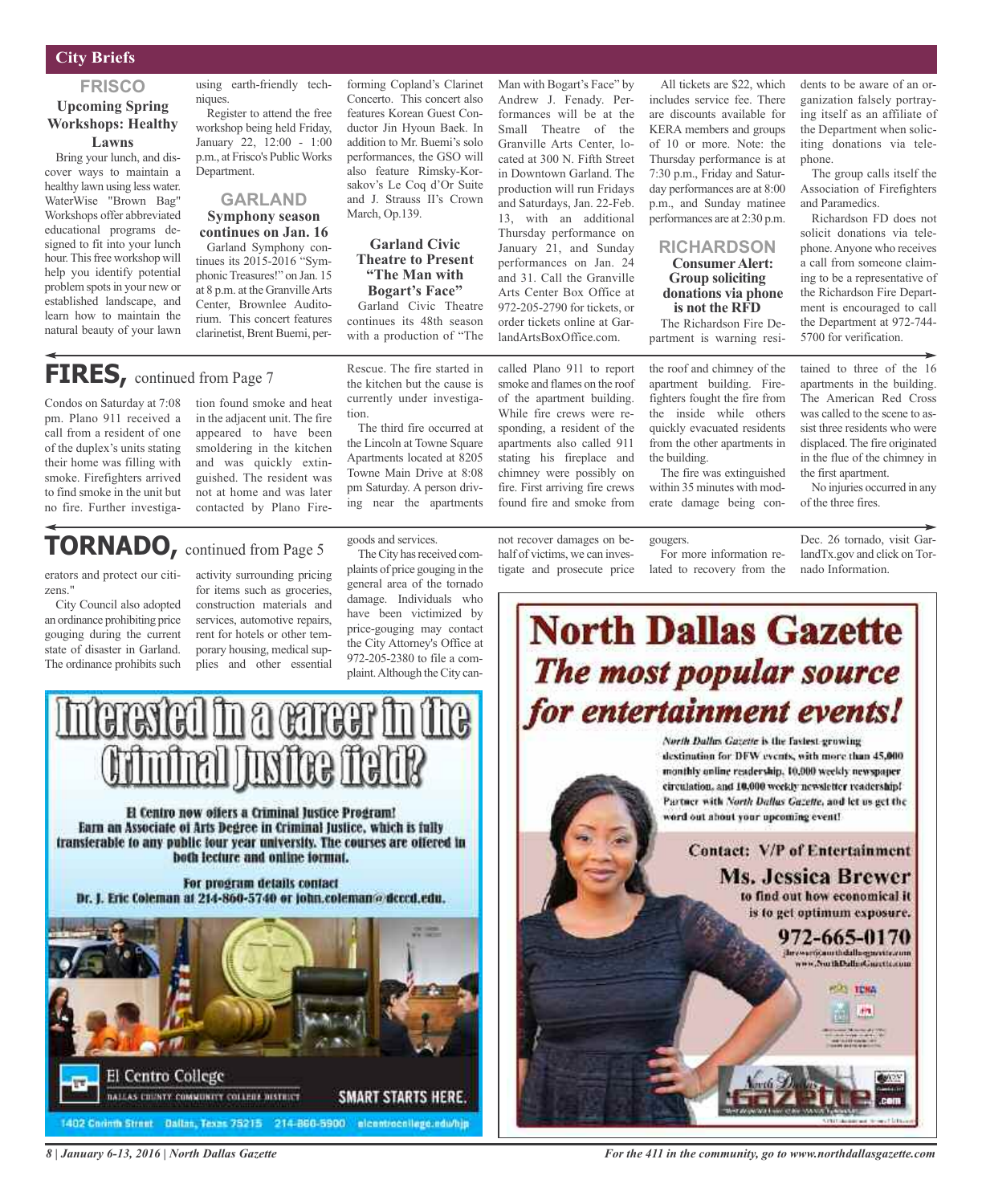#### **City Briefs**

#### **FRISCO**

#### **Upcoming Spring Workshops: Healthy Lawns**

Bring your lunch, and discover ways to maintain a healthy lawn using less water. WaterWise "Brown Bag" Workshops offer abbreviated educational programs designed to fit into your lunch hour. This free workshop will help you identify potential problem spots in your new or established landscape, and learn how to maintain the natural beauty of your lawn using earth-friendly techniques.

Register to attend the free workshop being held Friday, January 22, 12:00 - 1:00 p.m., at Frisco's PublicWorks **Department** 

#### **GARLAND Symphony season continues on Jan. 16**

Garland Symphony continues its 2015-2016 "Symphonic Treasures!" on Jan. 15 at 8 p.m. at the GranvilleArts Center, Brownlee Auditorium. This concert features clarinetist, Brent Buemi, per-

forming Copland's Clarinet Concerto. This concert also features Korean Guest Conductor Jin Hyoun Baek. In addition to Mr. Buemi's solo performances, the GSO will also feature Rimsky-Korsakov's Le Coq d'Or Suite and J. Strauss II's Crown March, Op.139.

#### **Garland Civic Theatre to Present "The Man with Bogart's Face"**

Garland Civic Theatre continues its 48th season with a production of "The

Rescue. The fire started in the kitchen but the cause is currently under investiga-

The third fire occurred at the Lincoln at Towne Square Apartments located at 8205 Towne Main Drive at 8:08

Man with Bogart's Face" by Andrew J. Fenady. Performances will be at the Small Theatre of the Granville Arts Center, located at 300 N. Fifth Street in Downtown Garland. The production will run Fridays and Saturdays, Jan. 22-Feb. 13, with an additional Thursday performance on January 21, and Sunday performances on Jan. 24 and 31. Call the Granville Arts Center Box Office at 972-205-2790 for tickets, or order tickets online at GarlandArtsBoxOffice.com.

called Plano 911 to report smoke and flames on the roof of the apartment building. While fire crews were responding, a resident of the apartments also called 911 stating his fireplace and chimney were possibly on fire. First arriving fire crews found fire and smoke from

All tickets are \$22, which includes service fee. There are discounts available for KERA members and groups of 10 or more. Note: the Thursday performance is at 7:30 p.m., Friday and Saturday performances are at 8:00 p.m., and Sunday matinee performances are at 2:30 p.m.

#### **RICHARDSON Consumer Alert: Group soliciting donations via phone is not the RFD**

The Richardson Fire Department is warning resi-

the roof and chimney of the apartment building. Firefighters fought the fire from the inside while others quickly evacuated residents from the other apartments in the building.

The fire was extinguished within 35 minutes with moderate damage being con-

gougers.

No injuries occurred in any of the three fires.

Dec. 26 tornado, visit GarlandTx.gov and click on Tornado Information.

### **FIRES**, continued from Page 7

Condos on Saturday at 7:08 pm. Plano 911 received a call from a resident of one of the duplex's units stating their home was filling with smoke. Firefighters arrived to find smoke in the unit but no fire. Further investigation found smoke and heat in the adjacent unit. The fire appeared to have been smoldering in the kitchen and was quickly extinguished. The resident was not at home and was later contacted by Plano Fire-

### **TORNADO,** continued from Page <sup>5</sup>

erators and protect our citizens."

City Council also adopted an ordinance prohibiting price gouging during the current state of disaster in Garland. The ordinance prohibits such activity surrounding pricing for items such as groceries, construction materials and services, automotive repairs, rent for hotels or other temporary housing, medical supplies and other essential

goods and services.

tion.

The City has received complaints of price gouging in the general area of the tornado damage. Individuals who have been victimized by price-gouging may contact the City Attorney's Office at 972-205-2380 to file a complaint. Although the City can-



El Centro now offers a Criminal Justice Program! Earn an Associate of Arts Degree in Criminal Justice, which is fully transferable to any public lour year university. The courses are offered in both lecture and online format.

For program details contact Dr. J. Eric Coleman at 214-860-5740 or john.coleman@dcccd.edu.





tained to three of the 16 apartments in the building. The American Red Cross was called to the scene to as-

sist three residents who were displaced.The fire originated in the flue of the chimney in the first apartment.

dents to be aware of an organization falsely portraying itself as an affiliate of the Department when soliciting donations via tele-

The group calls itself the Association of Firefighters

Richardson FD does not solicit donations via telephone.Anyone who receives a call from someone claiming to be a representative of the Richardson Fire Department is encouraged to call the Department at 972-744- 5700 for verification.

phone.

and Paramedics.

*For the 411 in the community, go to www.northdallasgazette.com*

*8 | January 6-13, 2016 | North Dallas Gazette*

pm Saturday. A person driving near the apartments

not recover damages on behalf of victims, we can inves-

tigate and prosecute price

For more information related to recovery from the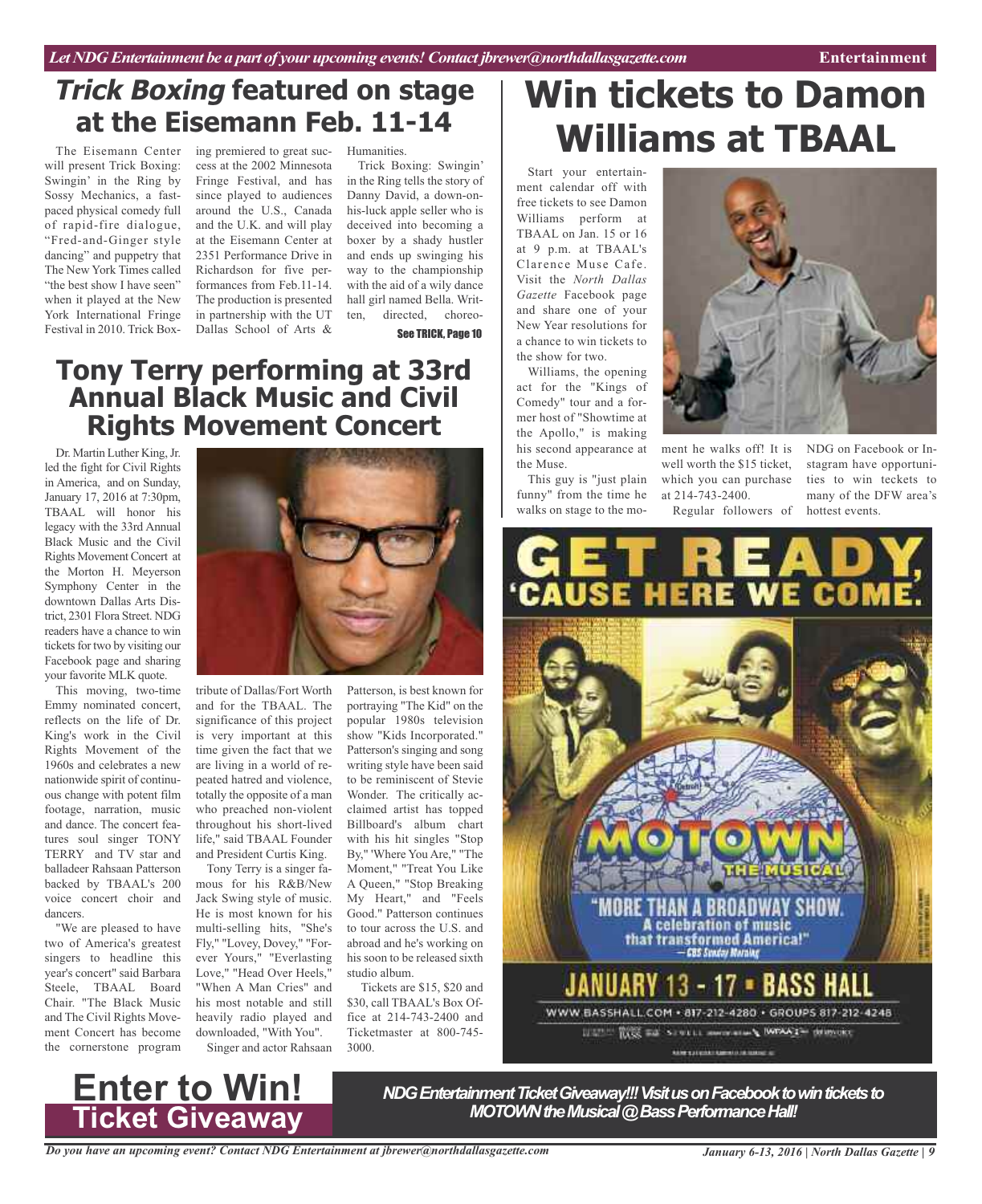### **Trick Boxing featured on stage at the Eisemann Feb. 11-14**

The Eisemann Center will present Trick Boxing: Swingin' in the Ring by Sossy Mechanics, a fastpaced physical comedy full of rapid-fire dialogue, "Fred-and-Ginger style dancing" and puppetry that The New York Times called "the best show I have seen" when it played at the New York International Fringe Festival in 2010. Trick Box-

ing premiered to great success at the 2002 Minnesota Fringe Festival, and has since played to audiences around the U.S., Canada and the U.K. and will play at the Eisemann Center at 2351 Performance Drive in Richardson for five performances from Feb.11-14. The production is presented in partnership with the UT Dallas School of Arts &

Humanities.

Trick Boxing: Swingin' in the Ring tells the story of Danny David, a down-onhis-luck apple seller who is deceived into becoming a boxer by a shady hustler and ends up swinging his way to the championship with the aid of a wily dance hall girl named Bella. Written, directed, choreo-See TRICK, Page 10

### **Tony Terry performing at 33rd Annual Black Music and Civil Rights Movement Concert**

Dr. Martin Luther King, Jr. led the fight for Civil Rights in America, and on Sunday, January 17, 2016 at 7:30pm, TBAAL will honor his legacy with the 33rd Annual Black Music and the Civil Rights Movement Concert at the Morton H. Meyerson Symphony Center in the downtown Dallas Arts District, 2301 Flora Street. NDG readers have a chance to win tickets for two by visiting our Facebook page and sharing your favorite MLK quote.

This moving, two-time Emmy nominated concert, reflects on the life of Dr. King's work in the Civil Rights Movement of the 1960s and celebrates a new nationwide spirit of continuous change with potent film footage, narration, music and dance. The concert features soul singer TONY TERRY and TV star and balladeer Rahsaan Patterson backed by TBAAL's 200 voice concert choir and dancers.

"We are pleased to have two of America's greatest singers to headline this year's concert" said Barbara Steele, TBAAL Board Chair. "The Black Music and The Civil Rights Movement Concert has become the cornerstone program



tribute of Dallas/Fort Worth and for the TBAAL. The significance of this project is very important at this time given the fact that we are living in a world of repeated hatred and violence, totally the opposite of a man who preached non-violent throughout his short-lived life," said TBAAL Founder and President Curtis King.

Tony Terry is a singer famous for his R&B/New Jack Swing style of music. He is most known for his multi-selling hits, "She's Fly," "Lovey, Dovey," "Forever Yours," "Everlasting Love," "Head Over Heels," "When A Man Cries" and his most notable and still heavily radio played and downloaded, "With You". Singer and actor Rahsaan

Patterson, is best known for portraying "The Kid" on the popular 1980s television show "Kids Incorporated." Patterson's singing and song writing style have been said to be reminiscent of Stevie Wonder. The critically acclaimed artist has topped Billboard's album chart with his hit singles "Stop By," 'Where You Are," "The Moment," "Treat You Like A Queen," "Stop Breaking My Heart," and "Feels Good." Patterson continues to tour across the U.S. and abroad and he's working on his soon to be released sixth studio album.

Tickets are \$15, \$20 and \$30, call TBAAL's Box Office at 214-743-2400 and Ticketmaster at 800-745- 3000.

## **Win tickets to Damon Williams at TBAAL**

Start your entertainment calendar off with free tickets to see Damon Williams perform at TBAAL on Jan. 15 or 16 at 9 p.m. at TBAAL's Clarence Muse Cafe. Visit the *North Dallas Gazette* Facebook page and share one of your New Year resolutions for a chance to win tickets to the show for two.

Williams, the opening act for the "Kings of Comedy" tour and a former host of "Showtime at the Apollo," is making his second appearance at the Muse.

This guy is "just plain funny" from the time he ment he walks off! It is well worth the \$15 ticket, which you can purchase at 214-743-2400.

NDG on Facebook or Instagram have opportunities to win teckets to many of the DFW area's

walks on stage to the mo-Regular followers of hottest events. ERE A BROADWAY SHOW A celebration of music **that transformed America!"**<br>- GBS Sinday Mealing 13 - 17 **· BASS HALL** 

WWW BASSHALL.COM - 817-212-4280 - GROUPS 817-212-4248 HAT RIS ES SPELL SHOWS IN WANT SHOWS:

Alerszápok kansát a kéter is

### **Enter to Win! Ticket Giveaway**

**NDG Entertainment Ticket Giveaway!!! Visit us on Facebook to win tickets to** *MOTOWN* the Musical @ Bass Performance Hall!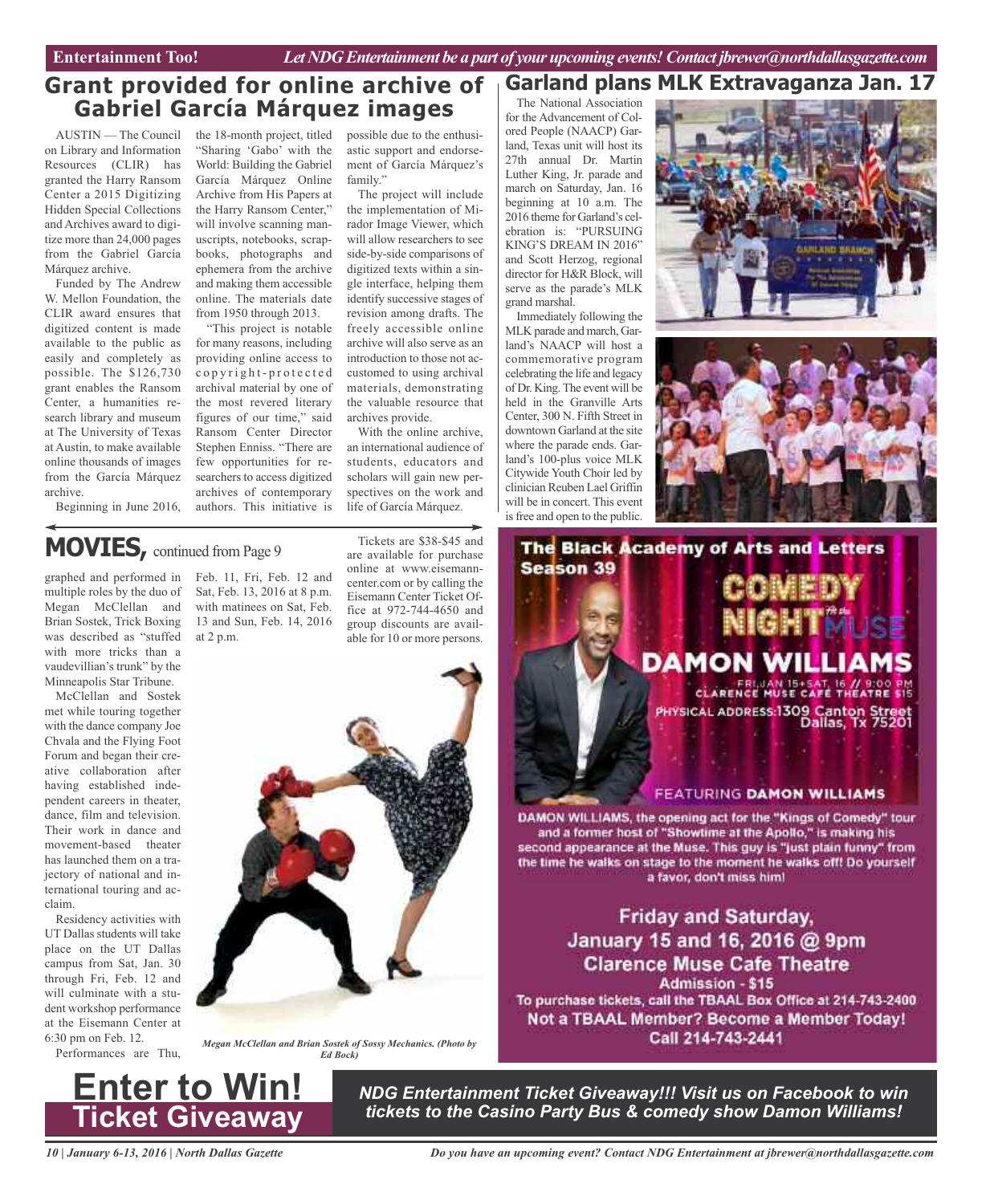Entertainment Too! *Let NDG Entertainment be a part of your upcoming events! Contact jbrewer@northdallasgazette.com* 

### **Grant provided for online archive of Gabriel García Márquez images**

AUSTIN — The Council on Library and Information Resources (CLIR) has granted the Harry Ransom Center a 2015 Digitizing Hidden Special Collections and Archives award to digitize more than 24,000 pages from the Gabriel García Márquez archive.

Funded by The Andrew W. Mellon Foundation, the CLIR award ensures that digitized content is made available to the public as easily and completely as possible. The \$126,730 grant enables the Ransom Center, a humanities research library and museum at The University of Texas at Austin, to make available online thousands of images from the García Márquez archive.

Beginning in June 2016,

the 18-month project, titled possible due to the enthusi-"Sharing 'Gabo' with the World: Building the Gabriel García Márquez Online Archive from His Papers at the Harry Ransom Center," will involve scanning manuscripts, notebooks, scrapbooks, photographs and ephemera from the archive and making them accessible online. The materials date from 1950 through 2013.

"This project is notable for many reasons, including providing online access to c o p y r i g h t - p r o t e c t e d archival material by one of the most revered literary figures of our time," said Ransom Center Director Stephen Enniss. "There are few opportunities for researchers to access digitized archives of contemporary authors. This initiative is

astic support and endorsement of García Márquez's family."

The project will include the implementation of Mirador Image Viewer, which will allow researchers to see side-by-side comparisons of digitized texts within a single interface, helping them identify successive stages of revision among drafts. The freely accessible online archive will also serve as an introduction to those not accustomed to using archival materials, demonstrating the valuable resource that archives provide.

With the online archive, an international audience of students, educators and scholars will gain new perspectives on the work and life of García Márquez.

### **MOVIES,** continued from Page <sup>9</sup>

graphed and performed in multiple roles by the duo of Megan McClellan and Brian Sostek, Trick Boxing was described as "stuffed with more tricks than a vaudevillian's trunk" by the Minneapolis Star Tribune.

McClellan and Sostek met while touring together with the dance company Joe Chvala and the Flying Foot Forum and began their creative collaboration after having established independent careers in theater, dance, film and television. Their work in dance and movement-based theater has launched them on a trajectory of national and international touring and acclaim.

Residency activities with UT Dallas students will take place on the UT Dallas campus from Sat, Jan. 30 through Fri, Feb. 12 and will culminate with a student workshop performance at the Eisemann Center at 6:30 pm on Feb. 12.

Performances are Thu,

Feb. 11, Fri, Feb. 12 and Sat, Feb. 13, 2016 at 8 p.m. with matinees on Sat, Feb. 13 and Sun, Feb. 14, 2016 at 2 p.m.

Tickets are \$38-\$45 and are available for purchase online at www.eisemanncenter.com or by calling the Eisemann Center Ticket Office at 972-744-4650 and group discounts are available for 10 or more persons.



The National Association for the Advancement of Colored People (NAACP) Garland, Texas unit will host its 27th annual Dr. Martin Luther King, Jr. parade and march on Saturday, Jan. 16 beginning at 10 a.m. The 2016 theme for Garland's celebration is: "PURSUING KING'S DREAM IN 2016" and Scott Herzog, regional director for H&R Block, will serve as the parade's MLK grand marshal.

Immediately following the MLK parade and march, Garland's NAACP will host a commemorative program celebrating the life and legacy of Dr. King. The event will be held in the Granville Arts Center, 300 N. Fifth Street in downtown Garland at the site where the parade ends. Garland's 100-plus voice MLK Citywide Youth Choir led by clinician Reuben Lael Griffin will be in concert. This event is free and open to the public.







DAMON WILLIAMS, the opening act for the "Kings of Comedy" tour and a former host of "Showtime at the Apollo," is making his second appearance at the Muse. This guy is "just plain funny" from the time he walks on stage to the moment he walks off! Do yourself a favor, don't miss him!

**Friday and Saturday,** January 15 and 16, 2016 @ 9pm **Clarence Muse Cafe Theatre Admission - \$15** To purchase tickets, call the TBAAL Box Office at 214-743-2400 Not a TBAAL Member? Become a Member Today! Call 214-743-2441

**Enter to Win! Ticket Giveaway**

*Megan McClellan and Brian Sostek of Sossy Mechanics. (Photo by Ed Bock)*

> *NDG Entertainment Ticket Giveaway!!! Visit us on Facebook to win tickets to the Casino Party Bus & comedy show Damon Williams!*

*10 | January 6-13, 2016 | North Dallas Gazette*

*Do you have an upcoming event? Contact NDG Entertainment at jbrewer@northdallasgazette.com*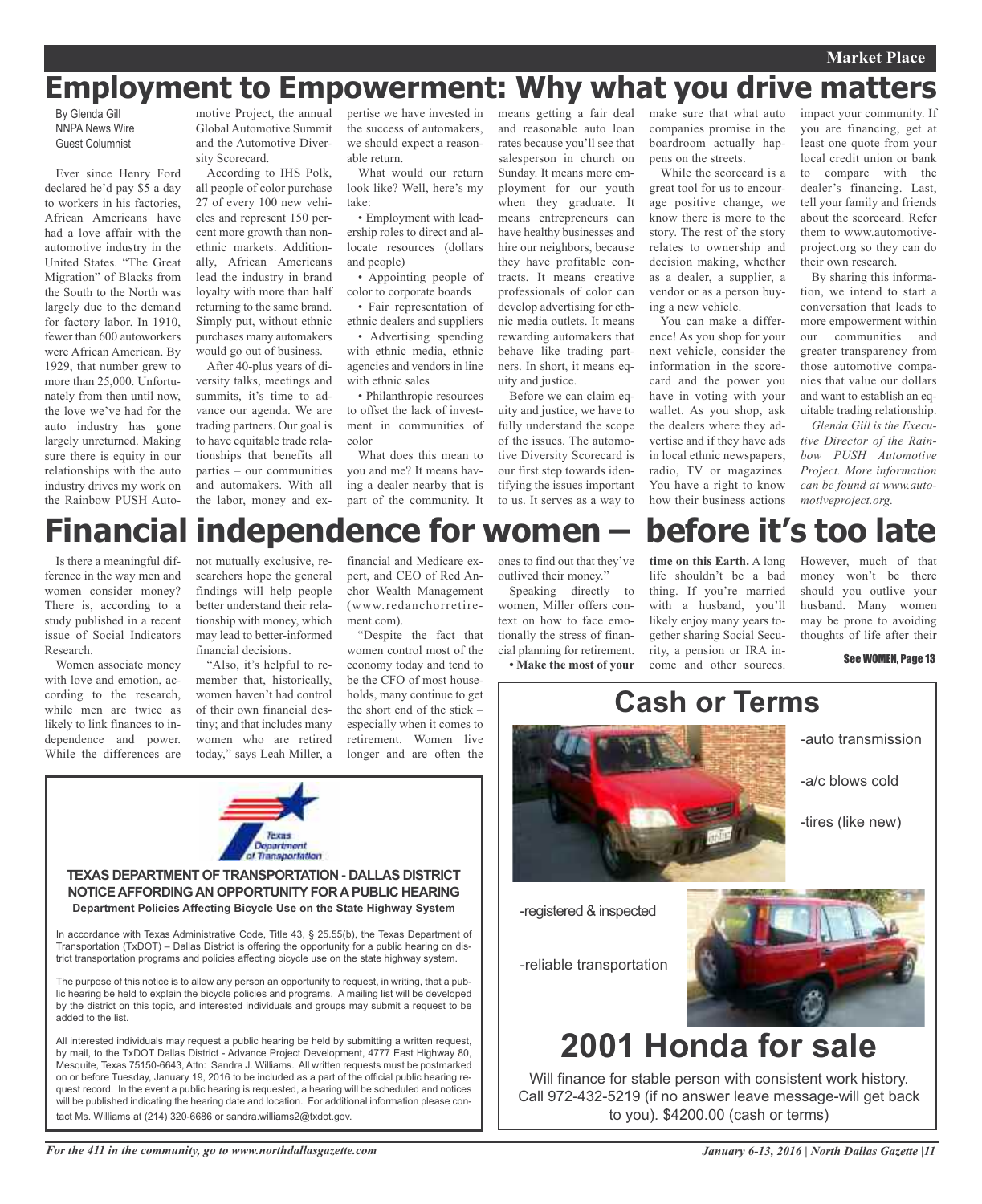#### **Market Place**

## **Employment to Empowerment: Why what you drive matters**

By Glenda Gill NNPA News Wire Guest Columnist

Ever since Henry Ford declared he'd pay \$5 a day to workers in his factories, African Americans have had a love affair with the automotive industry in the United States. "The Great Migration" of Blacks from the South to the North was largely due to the demand for factory labor. In 1910, fewer than 600 autoworkers were African American. By 1929, that number grew to more than 25,000. Unfortunately from then until now, the love we've had for the auto industry has gone largely unreturned. Making sure there is equity in our relationships with the auto industry drives my work on the Rainbow PUSH Auto-

motive Project, the annual Global Automotive Summit and the Automotive Diversity Scorecard.

According to IHS Polk, all people of color purchase 27 of every 100 new vehicles and represent 150 percent more growth than nonethnic markets. Additionally, African Americans lead the industry in brand loyalty with more than half returning to the same brand. Simply put, without ethnic purchases many automakers would go out of business.

After 40-plus years of diversity talks, meetings and summits, it's time to advance our agenda. We are trading partners. Our goal is to have equitable trade relationships that benefits all parties – our communities and automakers. With all the labor, money and expertise we have invested in the success of automakers, we should expect a reasonable return.

What would our return look like? Well, here's my take:

• Employment with leadership roles to direct and allocate resources (dollars and people)

• Appointing people of color to corporate boards

• Fair representation of ethnic dealers and suppliers

• Advertising spending with ethnic media, ethnic agencies and vendors in line with ethnic sales

• Philanthropic resources to offset the lack of investment in communities of color

What does this mean to you and me? It means having a dealer nearby that is part of the community. It means getting a fair deal and reasonable auto loan rates because you'll see that salesperson in church on Sunday. It means more employment for our youth when they graduate. It means entrepreneurs can have healthy businesses and hire our neighbors, because they have profitable contracts. It means creative professionals of color can develop advertising for ethnic media outlets. It means rewarding automakers that behave like trading partners. In short, it means equity and justice.

Before we can claim equity and justice, we have to fully understand the scope of the issues. The automotive Diversity Scorecard is our first step towards identifying the issues important to us. It serves as a way to

make sure that what auto companies promise in the boardroom actually happens on the streets.

While the scorecard is a great tool for us to encourage positive change, we know there is more to the story. The rest of the story relates to ownership and decision making, whether as a dealer, a supplier, a vendor or as a person buying a new vehicle.

You can make a difference! As you shop for your next vehicle, consider the information in the scorecard and the power you have in voting with your wallet. As you shop, ask the dealers where they advertise and if they have ads in local ethnic newspapers, radio, TV or magazines. You have a right to know how their business actions

impact your community. If you are financing, get at least one quote from your local credit union or bank to compare with the dealer's financing. Last, tell your family and friends about the scorecard. Refer them to www.automotiveproject.org so they can do their own research.

By sharing this information, we intend to start a conversation that leads to more empowerment within our communities and greater transparency from those automotive companies that value our dollars and want to establish an equitable trading relationship.

*Glenda Gill is the Executive Director of the Rainbow PUSH Automotive Project. More information can be found at www.automotiveproject.org.*

## **Financial independence for women – before it's too late**

Is there a meaningful difference in the way men and women consider money? There is, according to a study published in a recent issue of Social Indicators Research.

Women associate money with love and emotion, according to the research, while men are twice as likely to link finances to independence and power. While the differences are

added to the list.

not mutually exclusive, researchers hope the general findings will help people better understand their relationship with money, which may lead to better-informed financial decisions.

"Also, it's helpful to remember that, historically, women haven't had control of their own financial destiny; and that includes many women who are retired today," says Leah Miller, a

**TEXAS DEPARTMENT OF TRANSPORTATION - DALLAS DISTRICT NOTICE AFFORDING AN OPPORTUNITY FOR A PUBLIC HEARING Department Policies Affecting Bicycle Use on the State Highway System**

Texas Department Transportation

In accordance with Texas Administrative Code, Title 43, § 25.55(b), the Texas Department of Transportation (TxDOT) – Dallas District is offering the opportunity for a public hearing on district transportation programs and policies affecting bicycle use on the state highway system. The purpose of this notice is to allow any person an opportunity to request, in writing, that a public hearing be held to explain the bicycle policies and programs. A mailing list will be developed by the district on this topic, and interested individuals and groups may submit a request to be

All interested individuals may request a public hearing be held by submitting a written request, by mail, to the TxDOT Dallas District - Advance Project Development, 4777 East Highway 80, Mesquite, Texas 75150-6643, Attn: Sandra J. Williams. All written requests must be postmarked on or before Tuesday, January 19, 2016 to be included as a part of the official public hearing request record. In the event a public hearing is requested, a hearing will be scheduled and notices

financial and Medicare expert, and CEO of Red Anchor Wealth Management (www.redanchorretirement.com)

"Despite the fact that women control most of the economy today and tend to be the CFO of most households, many continue to get the short end of the stick – especially when it comes to retirement. Women live longer and are often the

ones to find out that they've outlived their money."

Speaking directly to women, Miller offers context on how to face emotionally the stress of financial planning for retirement. **• Make the most of your** **time on this Earth.** A long life shouldn't be a bad thing. If you're married with a husband, you'll likely enjoy many years together sharing Social Security, a pension or IRA in-

come and other sources.

However, much of that money won't be there should you outlive your husband. Many women may be prone to avoiding thoughts of life after their

See WOMEN, Page 13



Will finance for stable person with consistent work history. Call 972-432-5219 (if no answer leave message-will get back to you). \$4200.00 (cash or terms)

will be published indicating the hearing date and location. For additional information please contact Ms. Williams at (214) 320-6686 or sandra.williams2@txdot.gov.

*For the 411 in the community, go to www.northdallasgazette.com*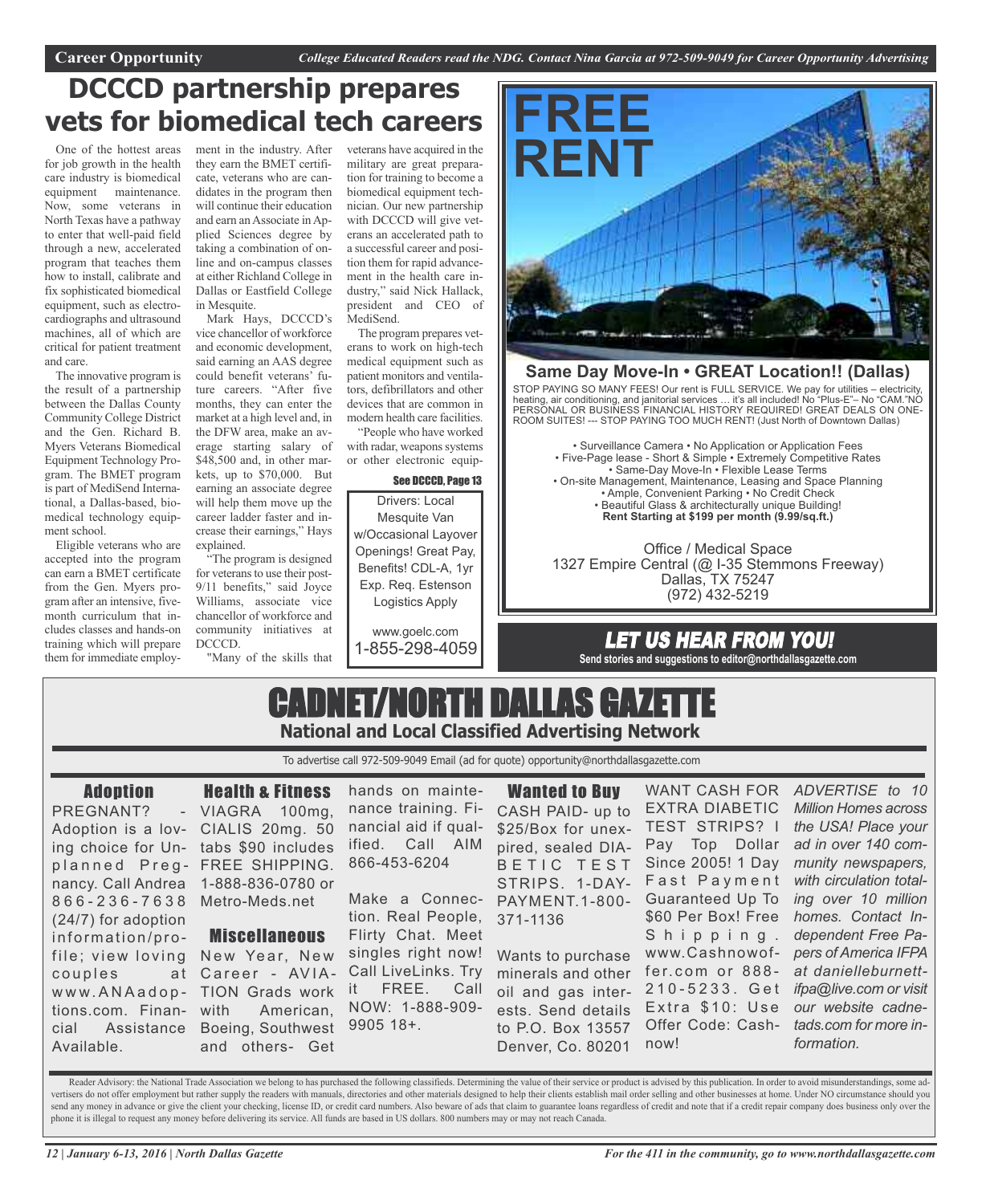### **DCCCD partnership prepares vets for biomedical tech careers**

One of the hottest areas for job growth in the health care industry is biomedical equipment maintenance. Now, some veterans in North Texas have a pathway to enter that well-paid field through a new, accelerated program that teaches them how to install, calibrate and fix sophisticated biomedical equipment, such as electrocardiographs and ultrasound machines, all of which are critical for patient treatment and care.

The innovative program is the result of a partnership between the Dallas County Community College District and the Gen. Richard B. Myers Veterans Biomedical Equipment Technology Program. The BMET program is part of MediSend International, a Dallas-based, biomedical technology equipment school.

Eligible veterans who are accepted into the program can earn a BMET certificate from the Gen. Myers program after an intensive, fivemonth curriculum that includes classes and hands-on training which will prepare them for immediate employ-

ment in the industry. After veterans have acquired in the they earn the BMET certificate, veterans who are candidates in the program then will continue their education and earn an Associate in Applied Sciences degree by taking a combination of online and on-campus classes at either Richland College in Dallas or Eastfield College in Mesquite.

Mark Hays, DCCCD's vice chancellor of workforce and economic development, said earning an AAS degree could benefit veterans' future careers. "After five months, they can enter the market at a high level and, in the DFW area, make an average starting salary of \$48,500 and, in other markets, up to \$70,000. But earning an associate degree will help them move up the career ladder faster and increase their earnings," Hays explained.

"The program is designed for veterans to use their post-9/11 benefits," said Joyce Williams, associate vice chancellor of workforce and community initiatives at DCCCD.

"Many of the skills that

military are great preparation for training to become a biomedical equipment technician. Our new partnership with DCCCD will give veterans an accelerated path to a successful career and position them for rapid advancement in the health care industry," said Nick Hallack, president and CEO of MediSend.

The program prepares veterans to work on high-tech medical equipment such as patient monitors and ventilators, defibrillators and other devices that are common in modern health care facilities.

"People who have worked with radar, weapons systems or other electronic equip-

#### See DCCCD, Page 13

Drivers: Local Mesquite Van w/Occasional Layover Openings! Great Pay, Benefits! CDL-A, 1yr Exp. Req. Estenson Logistics Apply

www.goelc.com 1-855-298-4059



#### **Same Day Move-In • GREAT Location!! (Dallas)**

STOP PAYING SO MANY FEES! Our rent is FULL SERVICE. We pay for utilities – electricity, heating, air conditioning, and janitorial services … it's all included! No "Plus-E"– No "CAM."NO PERSONAL OR BUSINESS FINANCIAL HISTORY REQUIRED! GREAT DEALS ON ONE-ROOM SUITES! --- STOP PAYING TOO MUCH RENT! (Just North of Downtown Dallas)

• Surveillance Camera • No Application or Application Fees • Five-Page lease - Short & Simple • Extremely Competitive Rates • Same-Day Move-In • Flexible Lease Terms • On-site Management, Maintenance, Leasing and Space Planning • Ample, Convenient Parking • No Credit Check • Beautiful Glass & architecturally unique Building! **Rent Starting at \$199 per month (9.99/sq.ft.)**

Office / Medical Space 1327 Empire Central (@ I-35 Stemmons Freeway) Dallas, TX 75247 (972) 432-5219

### LET US HEAR FROM YOU! **Send stories and suggestions to editor@northdallasgazette.com**

### CADNET/NORTH DALLAS GAZETTE **National and Local Classified Advertising Network**

To advertise call 972-509-9049 Email (ad for quote) opportunity@northdallasgazette.com

#### Adoption

PREGNANT? Adoption is a lov-CIALIS 20mg. 50 ing choice for Un-tabs \$90 includes planned Preg- FREE SHIPPING. nancy. Call Andrea 1-888-836-0780 or 8 6 6 - 2 3 6 - 7 6 3 8 Metro-Meds.net (24/7) for adoption information/profile; view loving New Year, New couples w w w. A N A a d o p - TION Grads work tions.com. Financial Assistance Boeing, Southwest Available.

Health & Fitness VIAGRA 100mg,

#### Miscellaneous

at Career - AVIA-American, and others- Get

hands on maintenance training. Financial aid if qualified. Call AIM 866-453-6204

Make a Connection. Real People, Flirty Chat. Meet singles right now! Call LiveLinks. Try it FREE. Call NOW: 1-888-909- 9905 18+.

Wanted to Buy CASH PAID- up to \$25/Box for unex-TEST STRIPS? I pired, sealed DIA-B E T I C T E S T STRIPS. 1-DAY-PAYMENT.1-800- Guaranteed Up To 371-1136

Wants to purchase minerals and other oil and gas interests. Send details to P.O. Box 13557 Denver, Co. 80201

WANT CASH FOR *ADVERTISE to 10* EXTRA DIABETIC Pay Top Dollar Since 2005! 1 Day Fast Payment \$60 Per Box! Free Shipping. www.Cashnowoffer.com or 888-2 1 0 - 5 2 3 3 . G e t Extra \$10: Use Offer Code: Cashnow!

*Million Homes across the USA! Place your ad in over 140 community newspapers, with circulation totaling over 10 million homes. Contact Independent Free Papers of America IFPA at danielleburnettifpa@live.com or visit our website cadnetads.com for more information.*

Reader Advisory: the National Trade Association we belong to has purchased the following classifieds. Determining the value of their service or product is advised by this publication. In order to avoid misunderstandings, s vertisers do not offer employment but rather supply the readers with manuals, directories and other materials designed to help their clients establish mail order selling and other businesses at home. Under NO circumstance send any money in advance or give the client your checking, license ID, or credit card numbers. Also beware of ads that claim to guarantee loans regardless of credit and note that if a credit repair company does business o phone it is illegal to request any money before delivering its service. All funds are based in US dollars. 800 numbers may or may not reach Canada.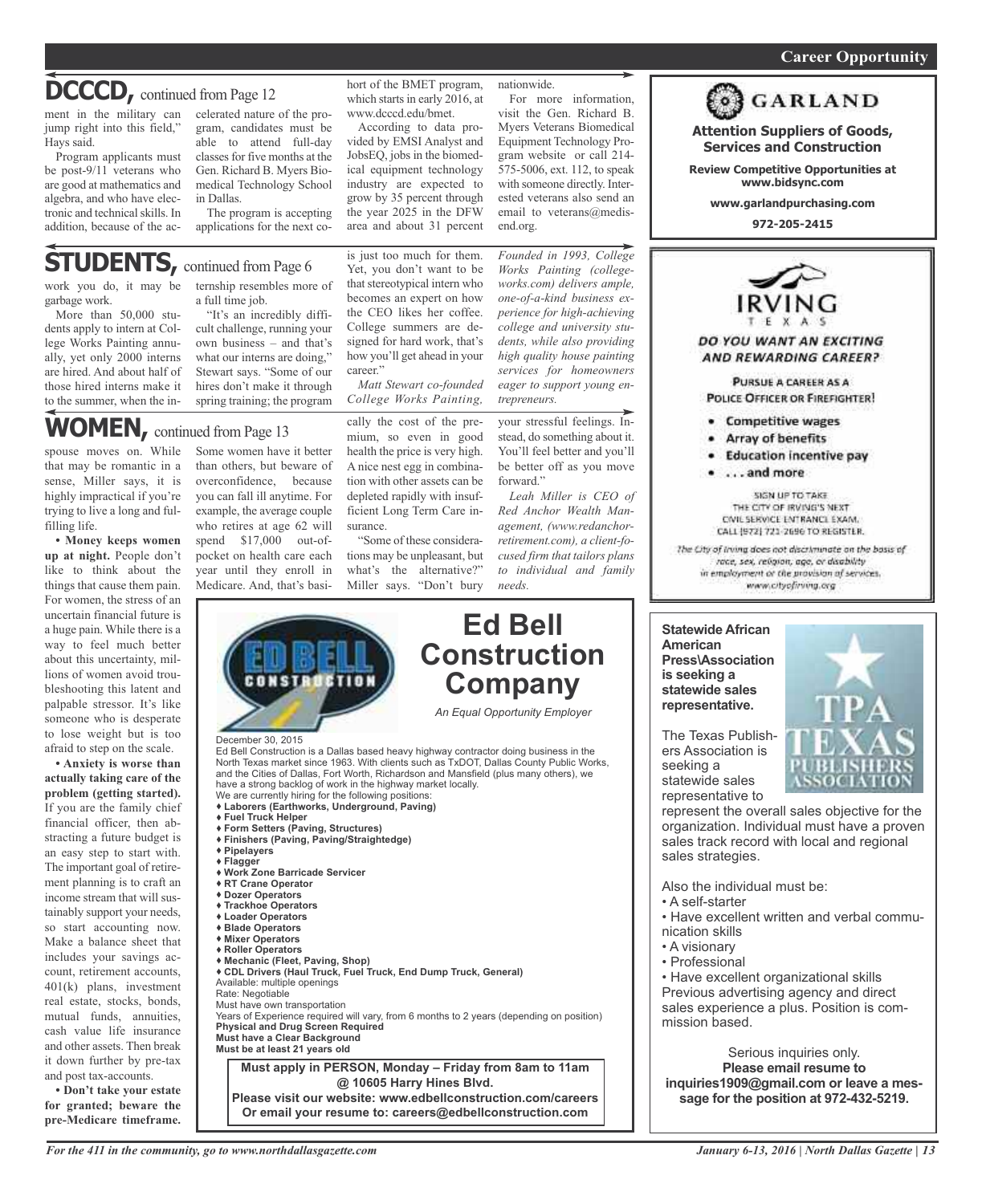### **DCCCD**, continued from Page 12

ment in the military can celerated nature of the projump right into this field," Hays said.

Program applicants must be post-9/11 veterans who are good at mathematics and algebra, and who have electronic and technical skills. In addition, because of the ac-

gram, candidates must be able to attend full-day classes for five months at the Gen. Richard B. Myers Biomedical Technology School in Dallas.

The program is accepting applications for the next co-

### **STUDENTS**, continued from Page 6

garbage work.

More than 50,000 students apply to intern at College Works Painting annually, yet only 2000 interns are hired. And about half of those hired interns make it to the summer, when the in-

work you do, it may be ternship resembles more of a full time job.

"It's an incredibly difficult challenge, running your own business – and that's what our interns are doing," Stewart says. "Some of our hires don't make it through spring training; the program

### **WOMEN,** continued from Page <sup>13</sup>

spouse moves on. While that may be romantic in a sense, Miller says, it is highly impractical if you're trying to live a long and fulfilling life.

**• Money keeps women up at night.** People don't like to think about the things that cause them pain. For women, the stress of an uncertain financial future is a huge pain. While there is a way to feel much better about this uncertainty, millions of women avoid troubleshooting this latent and palpable stressor. It's like someone who is desperate to lose weight but is too afraid to step on the scale.

**• Anxiety is worse than actually taking care of the problem (getting started).** If you are the family chief financial officer, then abstracting a future budget is an easy step to start with. The important goal of retirement planning is to craft an income stream that will sustainably support your needs, so start accounting now. Make a balance sheet that includes your savings account, retirement accounts, 401(k) plans, investment real estate, stocks, bonds, mutual funds, annuities, cash value life insurance and other assets. Then break it down further by pre-tax and post tax-accounts.

**• Don't take your estate for granted; beware the pre-Medicare timeframe.**

Some women have it better than others, but beware of overconfidence, because you can fall ill anytime. For example, the average couple who retires at age 62 will spend \$17,000 out-ofpocket on health care each year until they enroll in Medicare. And, that's basi-

hort of the BMET program, which starts in early 2016, at www.dcccd.edu/bmet.

According to data provided by EMSI Analyst and JobsEQ, jobs in the biomedical equipment technology industry are expected to grow by 35 percent through the year 2025 in the DFW area and about 31 percent

is just too much for them. Yet, you don't want to be that stereotypical intern who becomes an expert on how the CEO likes her coffee. College summers are designed for hard work, that's how you'll get ahead in your

cally the cost of the premium, so even in good health the price is very high. A nice nest egg in combination with other assets can be depleted rapidly with insufficient Long Term Care in-

*Matt Stewart co-founded College Works Painting,*

"Some of these considerations may be unpleasant, but what's the alternative?" Miller says. "Don't bury

surance.

career."

For more information, visit the Gen. Richard B. Myers Veterans Biomedical Equipment Technology Program website or call 214- 575-5006, ext. 112, to speak with someone directly. Interested veterans also send an

email to veterans@medis-

nationwide.

end.org.

*Founded in 1993, College Works Painting (collegeworks.com) delivers ample, one-of-a-kind business experience for high-achieving college and university students, while also providing high quality house painting services for homeowners eager to support young entrepreneurs.*

your stressful feelings. Instead, do something about it. You'll feel better and you'll be better off as you move forward."

*Leah Miller is CEO of Red Anchor Wealth Management, (www.redanchorretirement.com), a client-focused firm that tailors plans to individual and family needs.*

**Ed Bell**



**Please visit our website: www.edbellconstruction.com/careers Or email your resume to: careers@edbellconstruction.com**



#### **POLICE OFFICER OR FIREFIGHTER! Competitive wages**

- Array of benefits
- · Education incentive pay

**Attention Suppliers of Goods, Services and Construction Review Competitive Opportunities at www.bidsync.com www.garlandpurchasing.com 972-205-2415**

**GARLAND** 

. . . . and more

SIGN UP TO TAKE THE CITY OF IRVING'S NEXT CIVIL SERVICE ENTRANCE EXAM. CALL (972) 721-2696 TO REGISTER.

The City of Irving does not discriminate on the basis of race, sex, religion, age, or disability in employment or the provision of services. www.cityofirving.org

**Statewide African American Press\Association is seeking a statewide sales representative.**



The Texas Publishers Association is seeking a statewide sales representative to

represent the overall sales objective for the organization. Individual must have a proven sales track record with local and regional sales strategies.

Also the individual must be:

- A self-starter
- Have excellent written and verbal communication skills
- A visionary
- Professional

• Have excellent organizational skills Previous advertising agency and direct sales experience a plus. Position is commission based.

Serious inquiries only. **Please email resume to inquiries1909@gmail.com or leave a message for the position at 972-432-5219.**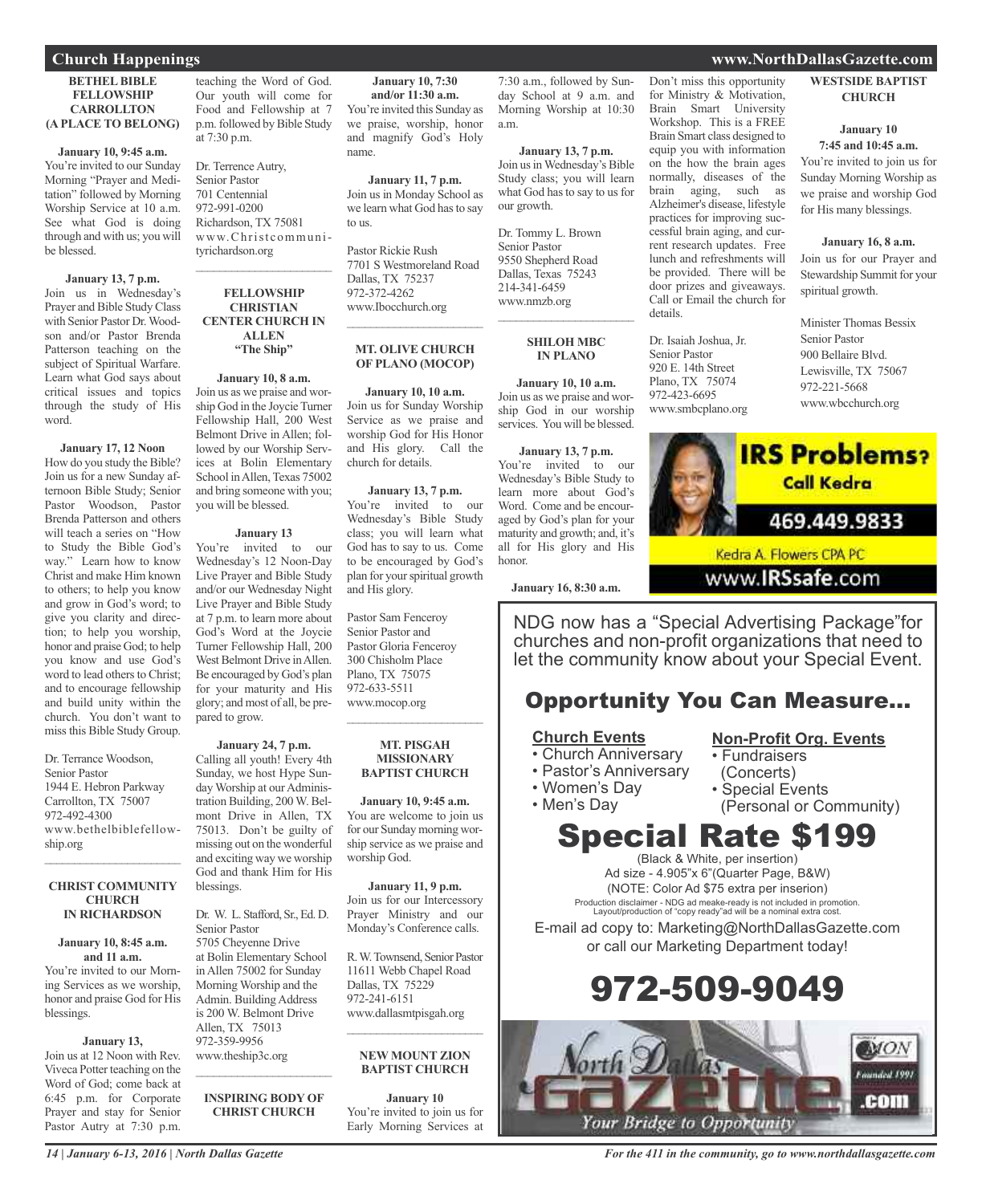#### **BETHEL BIBLE FELLOWSHIP CARROLLTON (A PLACE TO BELONG)**

#### **January 10, 9:45 a.m.**

You're invited to our Sunday Morning "Prayer and Meditation" followed by Morning Worship Service at 10 a.m. See what God is doing through and with us; you will be blessed.

#### **January 13, 7 p.m.** Join us in Wednesday's Prayer and Bible Study Class with Senior Pastor Dr.Woodson and/or Pastor Brenda Patterson teaching on the subject of Spiritual Warfare. Learn what God says about critical issues and topics through the study of His word.

#### **January 17, 12 Noon**

How do you study the Bible? Join us for a new Sunday afternoon Bible Study; Senior Pastor Woodson, Pastor Brenda Patterson and others will teach a series on "How to Study the Bible God's way." Learn how to know Christ and make Him known to others; to help you know and grow in God's word; to give you clarity and direction; to help you worship, honor and praise God; to help you know and use God's word to lead others to Christ; and to encourage fellowship and build unity within the church. You don't want to miss this Bible Study Group.

Dr. Terrance Woodson, Senior Pastor 1944 E. Hebron Parkway Carrollton, TX 75007 972-492-4300 www.bethelbiblefellowship.org

#### **CHRIST COMMUNITY CHURCH IN RICHARDSON**

 $\overline{\phantom{a}}$  ,  $\overline{\phantom{a}}$  ,  $\overline{\phantom{a}}$  ,  $\overline{\phantom{a}}$  ,  $\overline{\phantom{a}}$  ,  $\overline{\phantom{a}}$  ,  $\overline{\phantom{a}}$  ,  $\overline{\phantom{a}}$  ,  $\overline{\phantom{a}}$  ,  $\overline{\phantom{a}}$  ,  $\overline{\phantom{a}}$  ,  $\overline{\phantom{a}}$  ,  $\overline{\phantom{a}}$  ,  $\overline{\phantom{a}}$  ,  $\overline{\phantom{a}}$  ,  $\overline{\phantom{a}}$ 

#### **January 10, 8:45 a.m. and 11 a.m.**

You're invited to our Morning Services as we worship, honor and praise God for His blessings.

#### **January 13,**

Join us at 12 Noon with Rev. Viveca Potter teaching on the Word of God; come back at 6:45 p.m. for Corporate Prayer and stay for Senior Pastor Autry at 7:30 p.m.

*14 | January 6-13, 2016 | North Dallas Gazette*

teaching the Word of God. Our youth will come for Food and Fellowship at 7 p.m. followed by Bible Study at 7:30 p.m.

Dr. Terrence Autry, Senior Pastor 701 Centennial 972-991-0200 Richardson, TX 75081 www.Christcommunityrichardson.org

 $\overline{\phantom{a}}$  ,  $\overline{\phantom{a}}$  ,  $\overline{\phantom{a}}$  ,  $\overline{\phantom{a}}$  ,  $\overline{\phantom{a}}$  ,  $\overline{\phantom{a}}$  ,  $\overline{\phantom{a}}$  ,  $\overline{\phantom{a}}$  ,  $\overline{\phantom{a}}$  ,  $\overline{\phantom{a}}$  ,  $\overline{\phantom{a}}$  ,  $\overline{\phantom{a}}$  ,  $\overline{\phantom{a}}$  ,  $\overline{\phantom{a}}$  ,  $\overline{\phantom{a}}$  ,  $\overline{\phantom{a}}$ 

#### **FELLOWSHIP CHRISTIAN CENTER CHURCH IN ALLEN "The Ship"**

**January 10, 8 a.m.** Join us as we praise and worship God in the Joycie Turner Fellowship Hall, 200 West Belmont Drive in Allen; followed by our Worship Services at Bolin Elementary School in Allen, Texas 75002 and bring someone with you; you will be blessed.

#### **January 13**

You're invited to our Wednesday's 12 Noon-Day Live Prayer and Bible Study and/or our Wednesday Night Live Prayer and Bible Study at 7 p.m. to learn more about God's Word at the Joycie Turner Fellowship Hall, 200 West Belmont Drive in Allen. Be encouraged by God's plan for your maturity and His glory; and most of all, be prepared to grow.

#### **January 24, 7 p.m.** Calling all youth! Every 4th Sunday, we host Hype Sunday Worship at our Administration Building, 200 W. Belmont Drive in Allen, TX 75013. Don't be guilty of missing out on the wonderful and exciting way we worship God and thank Him for His blessings.

Dr. W. L. Stafford, Sr., Ed. D. Senior Pastor 5705 Cheyenne Drive at Bolin Elementary School in Allen 75002 for Sunday Morning Worship and the Admin. Building Address is 200 W. Belmont Drive Allen, TX 75013 972-359-9956 www.theship3c.org

### **CHRIST CHURCH**

 $\overline{\phantom{a}}$  ,  $\overline{\phantom{a}}$  ,  $\overline{\phantom{a}}$  ,  $\overline{\phantom{a}}$  ,  $\overline{\phantom{a}}$  ,  $\overline{\phantom{a}}$  ,  $\overline{\phantom{a}}$  ,  $\overline{\phantom{a}}$  ,  $\overline{\phantom{a}}$  ,  $\overline{\phantom{a}}$  ,  $\overline{\phantom{a}}$  ,  $\overline{\phantom{a}}$  ,  $\overline{\phantom{a}}$  ,  $\overline{\phantom{a}}$  ,  $\overline{\phantom{a}}$  ,  $\overline{\phantom{a}}$ 

**January 10, 7:30 and/or 11:30 a.m.** You're invited this Sunday as we praise, worship, honor and magnify God's Holy name.

**January 11, 7 p.m.** Join us in Monday School as we learn what God has to say to us.

Pastor Rickie Rush 7701 S Westmoreland Road Dallas, TX 75237 972-372-4262 www.Ibocchurch.org  $\mathcal{L}=\mathcal{L}^{\mathcal{L}}$  , where  $\mathcal{L}^{\mathcal{L}}$  , we have the set of the set of the set of the set of the set of the set of the set of the set of the set of the set of the set of the set of the set of the set of the set of

#### **MT. OLIVE CHURCH OF PLANO (MOCOP)**

**January 10, 10 a.m.** Join us for Sunday Worship Service as we praise and worship God for His Honor and His glory. Call the church for details.

#### **January 13, 7 p.m.**

You're invited to our Wednesday's Bible Study class; you will learn what God has to say to us. Come to be encouraged by God's plan for yourspiritual growth and His glory.

Pastor Sam Fenceroy Senior Pastor and Pastor Gloria Fenceroy 300 Chisholm Place Plano, TX 75075 972-633-5511 www.mocop.org  $\overline{\phantom{a}}$  , and the set of the set of the set of the set of the set of the set of the set of the set of the set of the set of the set of the set of the set of the set of the set of the set of the set of the set of the s

#### **MT. PISGAH MISSIONARY BAPTIST CHURCH**

#### **January 10, 9:45 a.m.**

You are welcome to join us for our Sunday morning worship service as we praise and worship God.

#### **January 11, 9 p.m.**

Join us for our Intercessory Prayer Ministry and our Monday's Conference calls.

R.W.Townsend, Senior Pastor 11611 Webb Chapel Road Dallas, TX 75229 972-241-6151 www.dallasmtpisgah.org

#### **NEW MOUNT ZION BAPTIST CHURCH**

 $\mathcal{L}=\mathcal{L}^{\mathcal{L}}$  , where  $\mathcal{L}^{\mathcal{L}}$  , we have the set of the set of the set of the set of the set of the set of the set of the set of the set of the set of the set of the set of the set of the set of the set of

**January 10** You're invited to join us for Early Morning Services at 7:30 a.m., followed by Sunday School at 9 a.m. and Morning Worship at 10:30 a.m.

**January 13, 7 p.m.** Join usinWednesday's Bible Study class; you will learn what God has to say to us for our growth.

Dr. Tommy L. Brown Senior Pastor 9550 Shepherd Road Dallas, Texas 75243 214-341-6459 www.nmzb.org  $\overline{\phantom{a}}$  ,  $\overline{\phantom{a}}$  ,  $\overline{\phantom{a}}$  ,  $\overline{\phantom{a}}$  ,  $\overline{\phantom{a}}$  ,  $\overline{\phantom{a}}$  ,  $\overline{\phantom{a}}$  ,  $\overline{\phantom{a}}$  ,  $\overline{\phantom{a}}$  ,  $\overline{\phantom{a}}$  ,  $\overline{\phantom{a}}$  ,  $\overline{\phantom{a}}$  ,  $\overline{\phantom{a}}$  ,  $\overline{\phantom{a}}$  ,  $\overline{\phantom{a}}$  ,  $\overline{\phantom{a}}$ 

#### **SHILOH MBC IN PLANO**

**January 10, 10 a.m.** Join us as we praise and worship God in our worship services. You will be blessed.

**January 13, 7 p.m.** You're invited to our Wednesday's Bible Study to learn more about God's Word. Come and be encouraged by God's plan for your maturity and growth; and, it's all for His glory and His honor.

**January 16, 8:30 a.m.**

NDG now has a "Special Advertising Package"for churches and non-profit organizations that need to let the community know about your Special Event.

### Opportunity You Can Measure...

#### **Church Events**

- Church Anniversary
- Pastor's Anniversary
- Women's Day
- Men's Day
- Special Events (Personal or Community)

**Non-Profit Org. Events**

• Fundraisers (Concerts)

## Special Rate \$199

(Black & White, per insertion) Ad size - 4.905"x 6"(Quarter Page, B&W) (NOTE: Color Ad \$75 extra per inserion) Production disclaimer - NDG ad meake-ready is not included in promotion. Layout/production of "copy ready"ad will be a nominal extra cost.

E-mail ad copy to: Marketing@NorthDallasGazette.com or call our Marketing Department today!

## 972-509-9049



#### **Church Happenings www.NorthDallasGazette.com**

Don't miss this opportunity for Ministry & Motivation, Brain Smart University Workshop. This is a FREE Brain Smart class designed to equip you with information on the how the brain ages normally, diseases of the brain aging, such as Alzheimer's disease, lifestyle practices for improving successful brain aging, and current research updates. Free lunch and refreshments will be provided. There will be door prizes and giveaways. Call or Email the church for

**WESTSIDE BAPTIST CHURCH**

#### **January 10 7:45 and 10:45 a.m.**

You're invited to join us for Sunday Morning Worship as we praise and worship God for His many blessings.

#### **January 16, 8 a.m.**

Join us for our Prayer and Stewardship Summit for your spiritual growth.

Minister Thomas Bessix Senior Pastor 900 Bellaire Blvd. Lewisville, TX 75067 972-221-5668 www.wbcchurch.org



www.**IRSsafe**.com

details.

Dr. Isaiah Joshua, Jr. Senior Pastor 920 E. 14th Street Plano, TX 75074 972-423-6695 www.smbcplano.org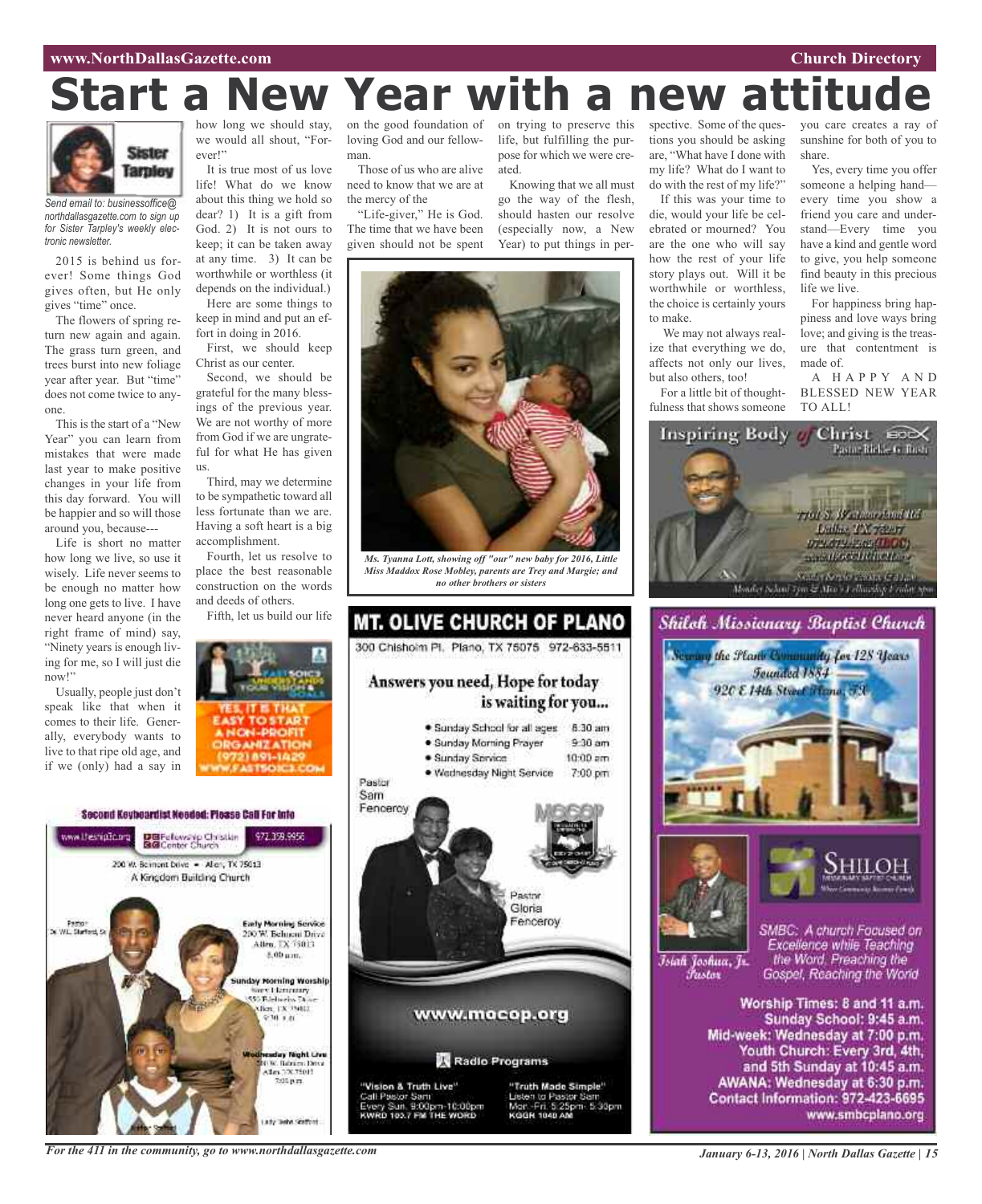#### **www.NorthDallasGazette.com Church Directory**

# **Start a New Year with a new attitude**



*Send email to: businessoffice@ northdallasgazette.com to sign up for Sister Tarpley's weekly electronic newsletter.*

2015 is behind us forever! Some things God gives often, but He only gives "time" once.

The flowers of spring return new again and again. The grass turn green, and trees burst into new foliage year after year. But "time" does not come twice to anyone.

This is the start of a "New Year" you can learn from mistakes that were made last year to make positive changes in your life from this day forward. You will be happier and so will those around you, because---

Life is short no matter how long we live, so use it wisely. Life never seems to be enough no matter how long one gets to live. I have never heard anyone (in the right frame of mind) say, "Ninety years is enough living for me, so I will just die now!"

Usually, people just don't speak like that when it comes to their life. Generally, everybody wants to live to that ripe old age, and if we (only) had a say in

how long we should stay, on the good foundation of we would all shout, "Forever!"

It is true most of us love life! What do we know about this thing we hold so dear? 1) It is a gift from God. 2) It is not ours to keep; it can be taken away at any time. 3) It can be worthwhile or worthless (it depends on the individual.) Here are some things to keep in mind and put an ef-

fort in doing in 2016. First, we should keep Christ as our center.

Second, we should be grateful for the many blessings of the previous year. We are not worthy of more from God if we are ungrateful for what He has given us.

Third, may we determine to be sympathetic toward all less fortunate than we are. Having a soft heart is a big accomplishment.

Fourth, let us resolve to place the best reasonable construction on the words and deeds of others.

Fifth, let us build our life



Second Keybeardist Needed: Please Call For Into www.thesnipOp.org DBFelows to Christian<br>BGConter Church 972.359.9956 200 W. Bernont Dove - Allery, TX 75013 A Kingdom Building Church **Early Morning Service** Fasto"<br>Surfact, S 200 W. Behneni Drive<br>Allen, TX 75013 8.00 um. day Morning Worship Stereo Librariary<br>SSS Babbaros Thom 9:30 1.01 day Night Live Management Com<br>Alan 100.15011<br>2016 p.m. arty Tashe Grafford

loving God and our fellowman.

Those of us who are alive need to know that we are at the mercy of the "Life-giver," He is God.

The time that we have been given should not be spent on trying to preserve this life, but fulfilling the purpose for which we were created.

Knowing that we all must go the way of the flesh, should hasten our resolve (especially now, a New Year) to put things in per-



*Ms. Tyanna Lott, showing off "our" new baby for 2016, Little Miss Maddox Rose Mobley, parents are Trey and Margie; and no other brothers or sisters*



spective. Some of the questions you should be asking are, "What have I done with my life? What do I want to do with the rest of my life?" If this was your time to die, would your life be celebrated or mourned? You are the one who will say how the rest of your life story plays out. Will it be worthwhile or worthless, the choice is certainly yours to make.

We may not always realize that everything we do, affects not only our lives, but also others, too!

For a little bit of thoughtfulness that shows someone

you care creates a ray of sunshine for both of you to share.

Yes, every time you offer someone a helping hand every time you show a friend you care and understand—Every time you have a kind and gentle word to give, you help someone find beauty in this precious life we live.

For happiness bring happiness and love ways bring love; and giving is the treasure that contentment is made of.

A H A P P Y A N D BLESSED NEW YEAR TO ALL!







Īsiah Joshua, Jr. Fustor

SMBC: A church Focused on Excellence while Teaching the Word. Preaching the Gospel, Reaching the World

Worship Times: 8 and 11 a.m. Sunday School: 9:45 a.m. Mid-week: Wednesday at 7:00 p.m. Youth Church: Every 3rd, 4th, and 5th Sunday at 10:45 a.m. AWANA: Wednesday at 6:30 p.m. Contact Information: 972-423-6695 www.smbcplano.org

*For the 411 in the community, go to www.northdallasgazette.com*